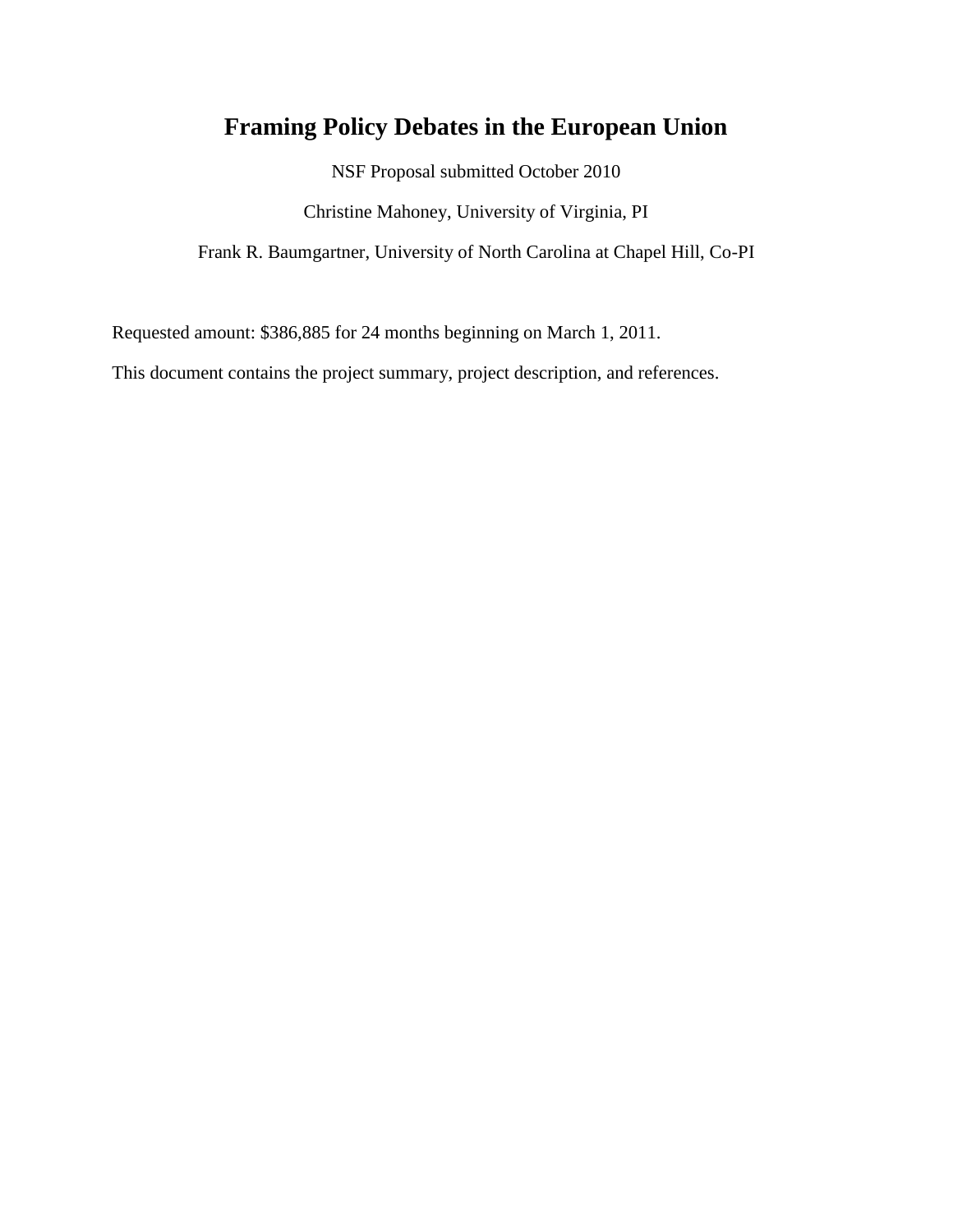# **Framing Policy Debates in the European Union**

NSF Proposal submitted October 2010 Christine Mahoney, University of Virginia, PI Frank R. Baumgartner, University of North Carolina at Chapel Hill, Co-PI

Requested amount: \$386,885 for 24 months beginning on March 1, 2011.

This document contains the project summary, project description, and references.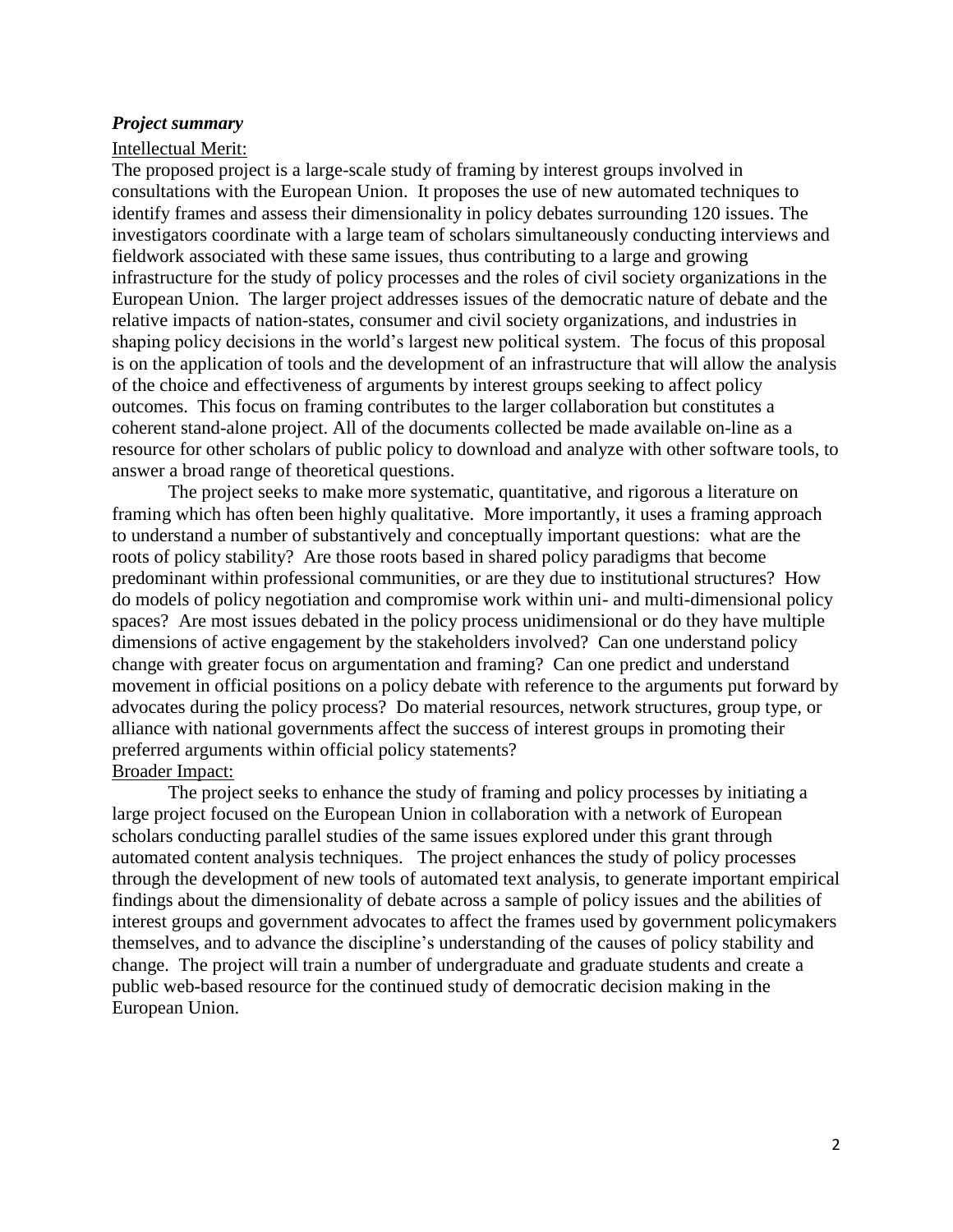#### *Project summary*

#### Intellectual Merit:

The proposed project is a large-scale study of framing by interest groups involved in consultations with the European Union. It proposes the use of new automated techniques to identify frames and assess their dimensionality in policy debates surrounding 120 issues. The investigators coordinate with a large team of scholars simultaneously conducting interviews and fieldwork associated with these same issues, thus contributing to a large and growing infrastructure for the study of policy processes and the roles of civil society organizations in the European Union. The larger project addresses issues of the democratic nature of debate and the relative impacts of nation-states, consumer and civil society organizations, and industries in shaping policy decisions in the world"s largest new political system. The focus of this proposal is on the application of tools and the development of an infrastructure that will allow the analysis of the choice and effectiveness of arguments by interest groups seeking to affect policy outcomes. This focus on framing contributes to the larger collaboration but constitutes a coherent stand-alone project. All of the documents collected be made available on-line as a resource for other scholars of public policy to download and analyze with other software tools, to answer a broad range of theoretical questions.

The project seeks to make more systematic, quantitative, and rigorous a literature on framing which has often been highly qualitative. More importantly, it uses a framing approach to understand a number of substantively and conceptually important questions: what are the roots of policy stability? Are those roots based in shared policy paradigms that become predominant within professional communities, or are they due to institutional structures? How do models of policy negotiation and compromise work within uni- and multi-dimensional policy spaces? Are most issues debated in the policy process unidimensional or do they have multiple dimensions of active engagement by the stakeholders involved? Can one understand policy change with greater focus on argumentation and framing? Can one predict and understand movement in official positions on a policy debate with reference to the arguments put forward by advocates during the policy process? Do material resources, network structures, group type, or alliance with national governments affect the success of interest groups in promoting their preferred arguments within official policy statements? Broader Impact:

### The project seeks to enhance the study of framing and policy processes by initiating a large project focused on the European Union in collaboration with a network of European scholars conducting parallel studies of the same issues explored under this grant through automated content analysis techniques. The project enhances the study of policy processes through the development of new tools of automated text analysis, to generate important empirical findings about the dimensionality of debate across a sample of policy issues and the abilities of interest groups and government advocates to affect the frames used by government policymakers themselves, and to advance the discipline"s understanding of the causes of policy stability and change. The project will train a number of undergraduate and graduate students and create a public web-based resource for the continued study of democratic decision making in the European Union.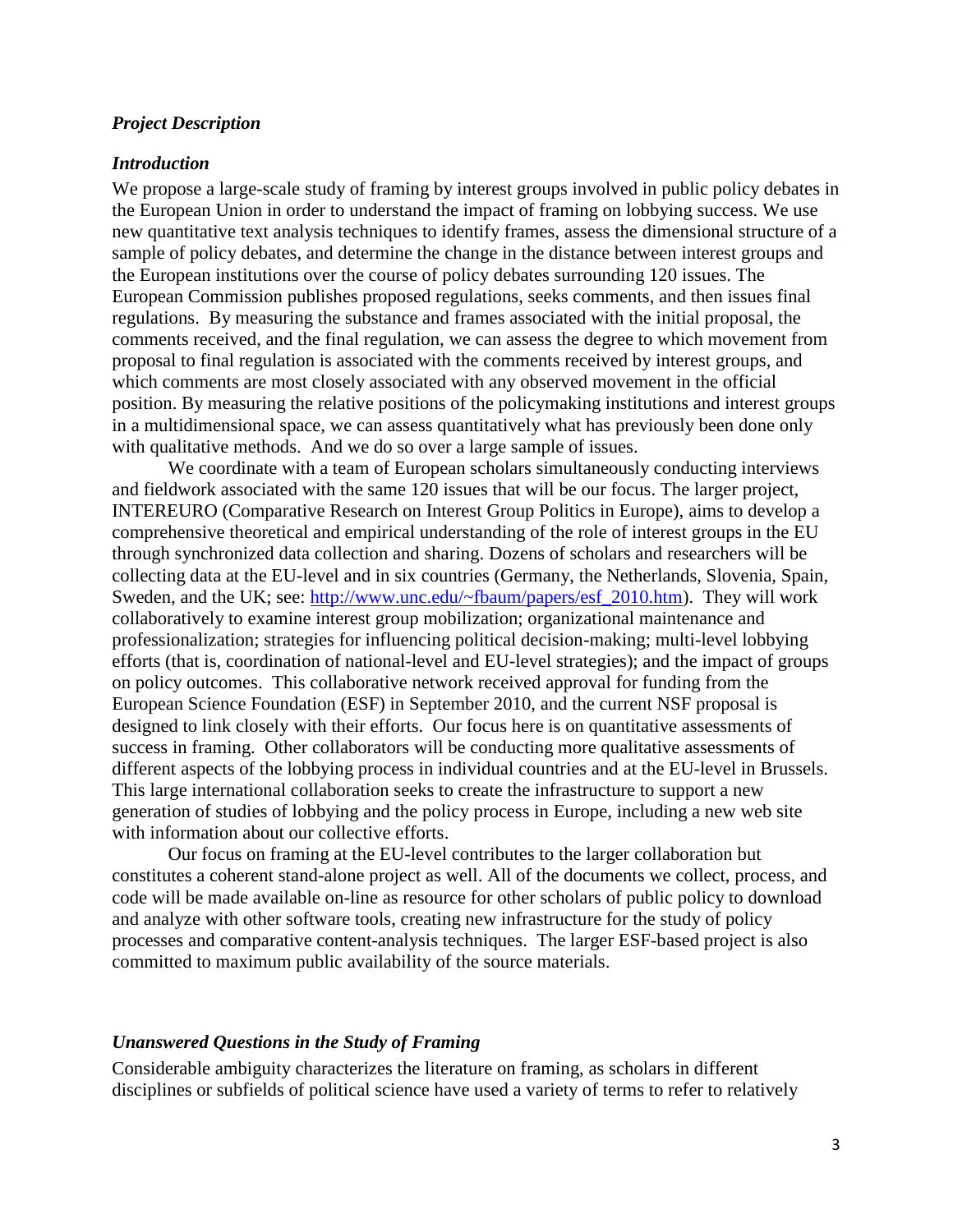#### *Project Description*

#### *Introduction*

We propose a large-scale study of framing by interest groups involved in public policy debates in the European Union in order to understand the impact of framing on lobbying success. We use new quantitative text analysis techniques to identify frames, assess the dimensional structure of a sample of policy debates, and determine the change in the distance between interest groups and the European institutions over the course of policy debates surrounding 120 issues. The European Commission publishes proposed regulations, seeks comments, and then issues final regulations. By measuring the substance and frames associated with the initial proposal, the comments received, and the final regulation, we can assess the degree to which movement from proposal to final regulation is associated with the comments received by interest groups, and which comments are most closely associated with any observed movement in the official position. By measuring the relative positions of the policymaking institutions and interest groups in a multidimensional space, we can assess quantitatively what has previously been done only with qualitative methods. And we do so over a large sample of issues.

We coordinate with a team of European scholars simultaneously conducting interviews and fieldwork associated with the same 120 issues that will be our focus. The larger project, INTEREURO (Comparative Research on Interest Group Politics in Europe), aims to develop a comprehensive theoretical and empirical understanding of the role of interest groups in the EU through synchronized data collection and sharing. Dozens of scholars and researchers will be collecting data at the EU-level and in six countries (Germany, the Netherlands, Slovenia, Spain, Sweden, and the UK; see: [http://www.unc.edu/~fbaum/papers/esf\\_2010.htm\)](http://www.unc.edu/~fbaum/papers/esf_2010.htm). They will work collaboratively to examine interest group mobilization; organizational maintenance and professionalization; strategies for influencing political decision-making; multi-level lobbying efforts (that is, coordination of national-level and EU-level strategies); and the impact of groups on policy outcomes. This collaborative network received approval for funding from the European Science Foundation (ESF) in September 2010, and the current NSF proposal is designed to link closely with their efforts. Our focus here is on quantitative assessments of success in framing. Other collaborators will be conducting more qualitative assessments of different aspects of the lobbying process in individual countries and at the EU-level in Brussels. This large international collaboration seeks to create the infrastructure to support a new generation of studies of lobbying and the policy process in Europe, including a new web site with information about our collective efforts.

Our focus on framing at the EU-level contributes to the larger collaboration but constitutes a coherent stand-alone project as well. All of the documents we collect, process, and code will be made available on-line as resource for other scholars of public policy to download and analyze with other software tools, creating new infrastructure for the study of policy processes and comparative content-analysis techniques. The larger ESF-based project is also committed to maximum public availability of the source materials.

### *Unanswered Questions in the Study of Framing*

Considerable ambiguity characterizes the literature on framing, as scholars in different disciplines or subfields of political science have used a variety of terms to refer to relatively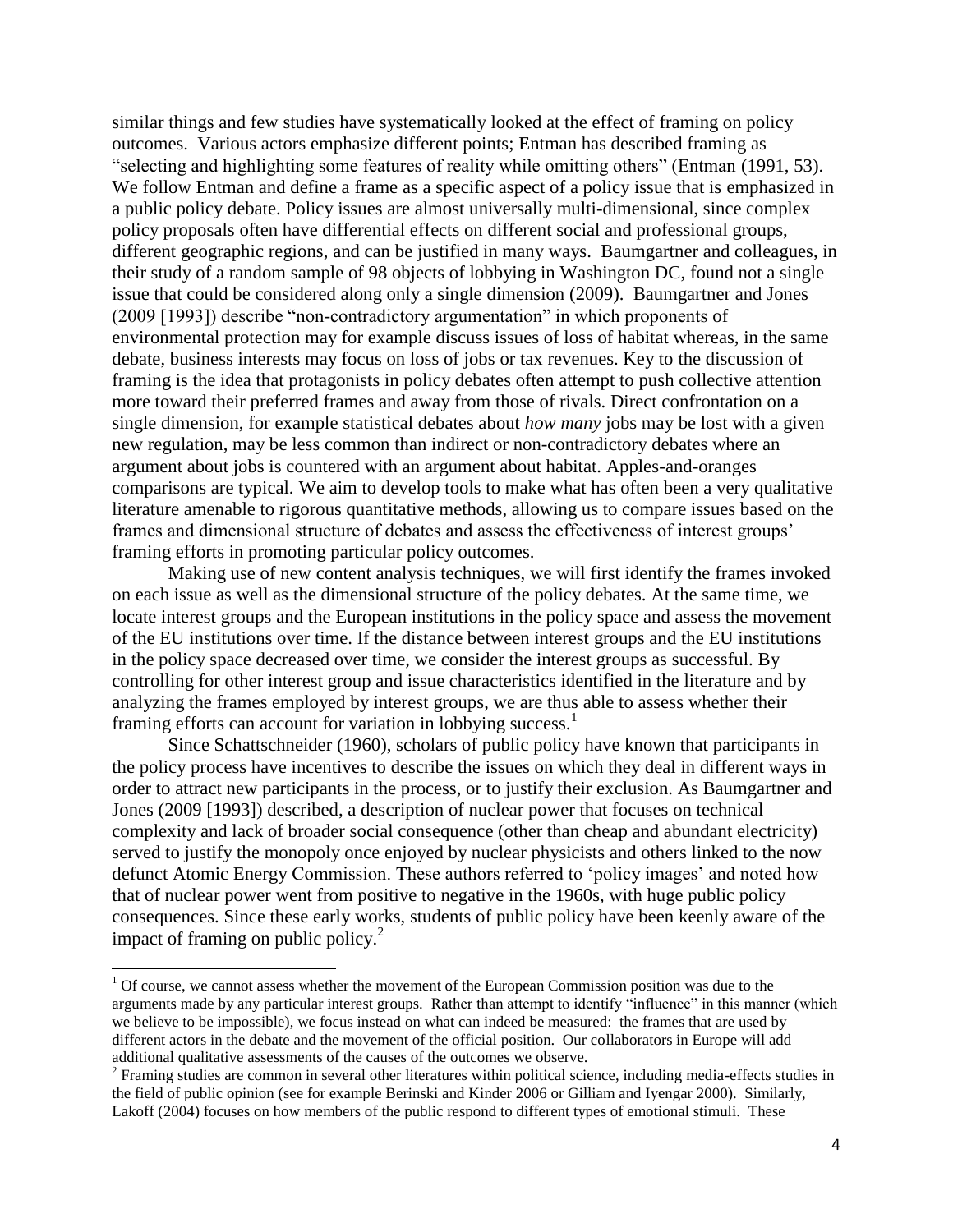similar things and few studies have systematically looked at the effect of framing on policy outcomes. Various actors emphasize different points; Entman has described framing as "selecting and highlighting some features of reality while omitting others" (Entman (1991, 53). We follow Entman and define a frame as a specific aspect of a policy issue that is emphasized in a public policy debate. Policy issues are almost universally multi-dimensional, since complex policy proposals often have differential effects on different social and professional groups, different geographic regions, and can be justified in many ways. Baumgartner and colleagues, in their study of a random sample of 98 objects of lobbying in Washington DC, found not a single issue that could be considered along only a single dimension (2009). Baumgartner and Jones (2009 [1993]) describe "non-contradictory argumentation" in which proponents of environmental protection may for example discuss issues of loss of habitat whereas, in the same debate, business interests may focus on loss of jobs or tax revenues. Key to the discussion of framing is the idea that protagonists in policy debates often attempt to push collective attention more toward their preferred frames and away from those of rivals. Direct confrontation on a single dimension, for example statistical debates about *how many* jobs may be lost with a given new regulation, may be less common than indirect or non-contradictory debates where an argument about jobs is countered with an argument about habitat. Apples-and-oranges comparisons are typical. We aim to develop tools to make what has often been a very qualitative literature amenable to rigorous quantitative methods, allowing us to compare issues based on the frames and dimensional structure of debates and assess the effectiveness of interest groups" framing efforts in promoting particular policy outcomes.

Making use of new content analysis techniques, we will first identify the frames invoked on each issue as well as the dimensional structure of the policy debates. At the same time, we locate interest groups and the European institutions in the policy space and assess the movement of the EU institutions over time. If the distance between interest groups and the EU institutions in the policy space decreased over time, we consider the interest groups as successful. By controlling for other interest group and issue characteristics identified in the literature and by analyzing the frames employed by interest groups, we are thus able to assess whether their framing efforts can account for variation in lobbying success.<sup>1</sup>

Since Schattschneider (1960), scholars of public policy have known that participants in the policy process have incentives to describe the issues on which they deal in different ways in order to attract new participants in the process, or to justify their exclusion. As Baumgartner and Jones (2009 [1993]) described, a description of nuclear power that focuses on technical complexity and lack of broader social consequence (other than cheap and abundant electricity) served to justify the monopoly once enjoyed by nuclear physicists and others linked to the now defunct Atomic Energy Commission. These authors referred to 'policy images' and noted how that of nuclear power went from positive to negative in the 1960s, with huge public policy consequences. Since these early works, students of public policy have been keenly aware of the impact of framing on public policy. $^{2}$ 

 $\overline{\phantom{a}}$ 

 $1$  Of course, we cannot assess whether the movement of the European Commission position was due to the arguments made by any particular interest groups. Rather than attempt to identify "influence" in this manner (which we believe to be impossible), we focus instead on what can indeed be measured: the frames that are used by different actors in the debate and the movement of the official position. Our collaborators in Europe will add additional qualitative assessments of the causes of the outcomes we observe.

 $2^2$  Framing studies are common in several other literatures within political science, including media-effects studies in the field of public opinion (see for example Berinski and Kinder 2006 or Gilliam and Iyengar 2000). Similarly, Lakoff (2004) focuses on how members of the public respond to different types of emotional stimuli. These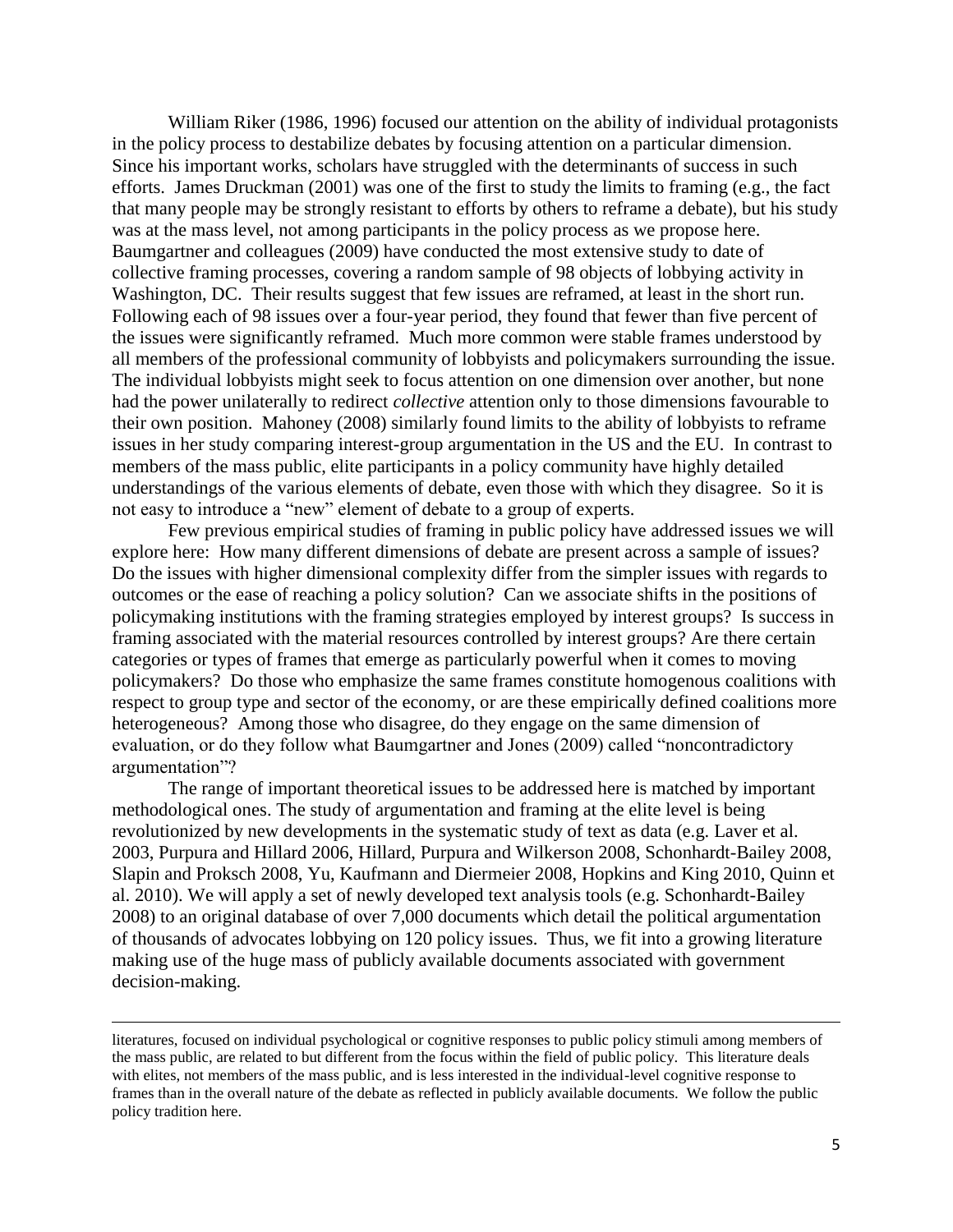William Riker (1986, 1996) focused our attention on the ability of individual protagonists in the policy process to destabilize debates by focusing attention on a particular dimension. Since his important works, scholars have struggled with the determinants of success in such efforts. James Druckman (2001) was one of the first to study the limits to framing (e.g., the fact that many people may be strongly resistant to efforts by others to reframe a debate), but his study was at the mass level, not among participants in the policy process as we propose here. Baumgartner and colleagues (2009) have conducted the most extensive study to date of collective framing processes, covering a random sample of 98 objects of lobbying activity in Washington, DC. Their results suggest that few issues are reframed, at least in the short run. Following each of 98 issues over a four-year period, they found that fewer than five percent of the issues were significantly reframed. Much more common were stable frames understood by all members of the professional community of lobbyists and policymakers surrounding the issue. The individual lobbyists might seek to focus attention on one dimension over another, but none had the power unilaterally to redirect *collective* attention only to those dimensions favourable to their own position. Mahoney (2008) similarly found limits to the ability of lobbyists to reframe issues in her study comparing interest-group argumentation in the US and the EU. In contrast to members of the mass public, elite participants in a policy community have highly detailed understandings of the various elements of debate, even those with which they disagree. So it is not easy to introduce a "new" element of debate to a group of experts.

Few previous empirical studies of framing in public policy have addressed issues we will explore here: How many different dimensions of debate are present across a sample of issues? Do the issues with higher dimensional complexity differ from the simpler issues with regards to outcomes or the ease of reaching a policy solution? Can we associate shifts in the positions of policymaking institutions with the framing strategies employed by interest groups? Is success in framing associated with the material resources controlled by interest groups? Are there certain categories or types of frames that emerge as particularly powerful when it comes to moving policymakers? Do those who emphasize the same frames constitute homogenous coalitions with respect to group type and sector of the economy, or are these empirically defined coalitions more heterogeneous? Among those who disagree, do they engage on the same dimension of evaluation, or do they follow what Baumgartner and Jones (2009) called "noncontradictory argumentation"?

The range of important theoretical issues to be addressed here is matched by important methodological ones. The study of argumentation and framing at the elite level is being revolutionized by new developments in the systematic study of text as data (e.g. Laver et al. 2003, Purpura and Hillard 2006, Hillard, Purpura and Wilkerson 2008, Schonhardt-Bailey 2008, Slapin and Proksch 2008, Yu, Kaufmann and Diermeier 2008, Hopkins and King 2010, Quinn et al. 2010). We will apply a set of newly developed text analysis tools (e.g. Schonhardt-Bailey 2008) to an original database of over 7,000 documents which detail the political argumentation of thousands of advocates lobbying on 120 policy issues. Thus, we fit into a growing literature making use of the huge mass of publicly available documents associated with government decision-making.

 $\overline{a}$ 

literatures, focused on individual psychological or cognitive responses to public policy stimuli among members of the mass public, are related to but different from the focus within the field of public policy. This literature deals with elites, not members of the mass public, and is less interested in the individual-level cognitive response to frames than in the overall nature of the debate as reflected in publicly available documents. We follow the public policy tradition here.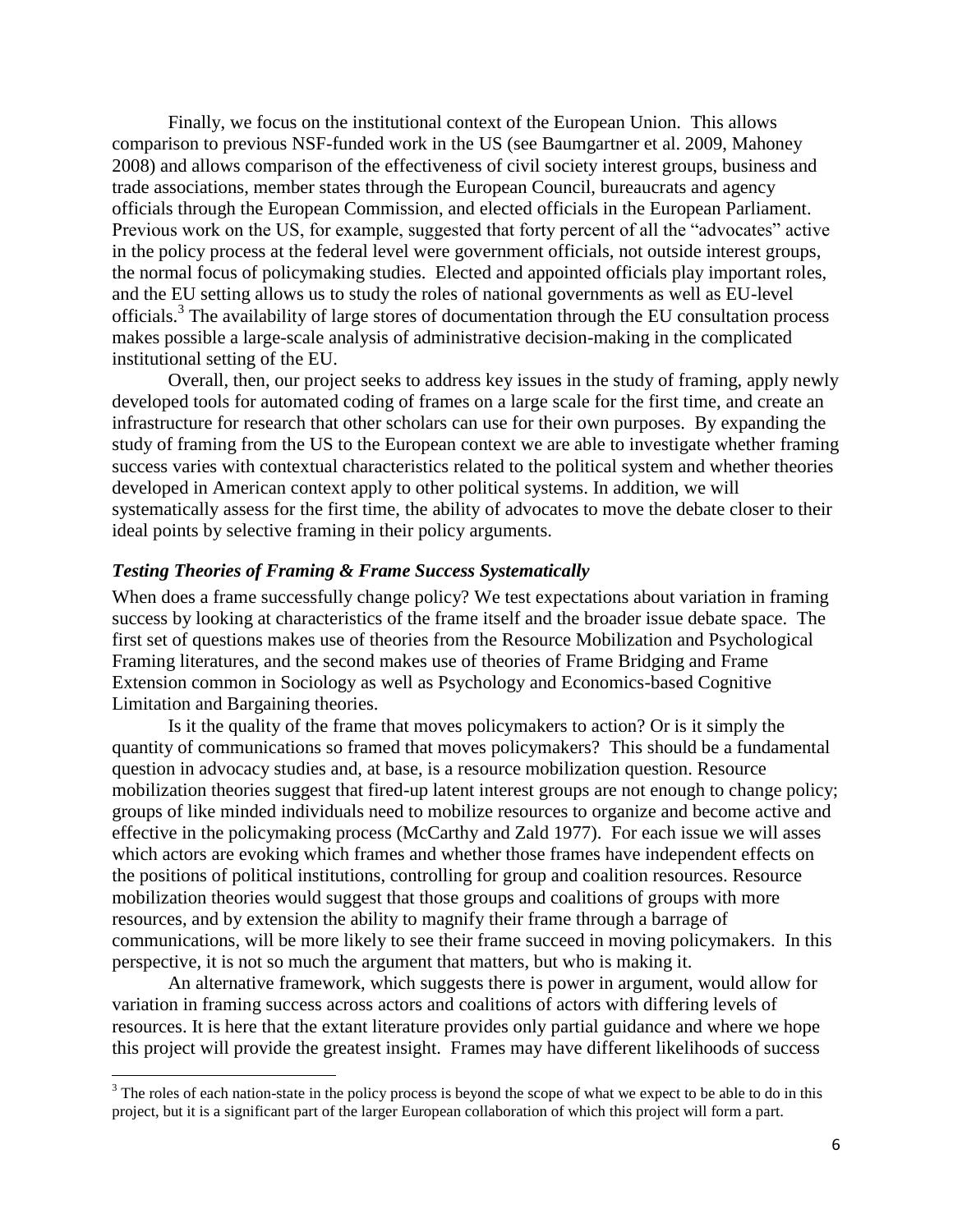Finally, we focus on the institutional context of the European Union. This allows comparison to previous NSF-funded work in the US (see Baumgartner et al. 2009, Mahoney 2008) and allows comparison of the effectiveness of civil society interest groups, business and trade associations, member states through the European Council, bureaucrats and agency officials through the European Commission, and elected officials in the European Parliament. Previous work on the US, for example, suggested that forty percent of all the "advocates" active in the policy process at the federal level were government officials, not outside interest groups, the normal focus of policymaking studies. Elected and appointed officials play important roles, and the EU setting allows us to study the roles of national governments as well as EU-level officials.<sup>3</sup> The availability of large stores of documentation through the EU consultation process makes possible a large-scale analysis of administrative decision-making in the complicated institutional setting of the EU.

Overall, then, our project seeks to address key issues in the study of framing, apply newly developed tools for automated coding of frames on a large scale for the first time, and create an infrastructure for research that other scholars can use for their own purposes. By expanding the study of framing from the US to the European context we are able to investigate whether framing success varies with contextual characteristics related to the political system and whether theories developed in American context apply to other political systems. In addition, we will systematically assess for the first time, the ability of advocates to move the debate closer to their ideal points by selective framing in their policy arguments.

#### *Testing Theories of Framing & Frame Success Systematically*

 $\overline{\phantom{a}}$ 

When does a frame successfully change policy? We test expectations about variation in framing success by looking at characteristics of the frame itself and the broader issue debate space. The first set of questions makes use of theories from the Resource Mobilization and Psychological Framing literatures, and the second makes use of theories of Frame Bridging and Frame Extension common in Sociology as well as Psychology and Economics-based Cognitive Limitation and Bargaining theories.

Is it the quality of the frame that moves policymakers to action? Or is it simply the quantity of communications so framed that moves policymakers? This should be a fundamental question in advocacy studies and, at base, is a resource mobilization question. Resource mobilization theories suggest that fired-up latent interest groups are not enough to change policy; groups of like minded individuals need to mobilize resources to organize and become active and effective in the policymaking process (McCarthy and Zald 1977). For each issue we will asses which actors are evoking which frames and whether those frames have independent effects on the positions of political institutions, controlling for group and coalition resources. Resource mobilization theories would suggest that those groups and coalitions of groups with more resources, and by extension the ability to magnify their frame through a barrage of communications, will be more likely to see their frame succeed in moving policymakers. In this perspective, it is not so much the argument that matters, but who is making it.

An alternative framework, which suggests there is power in argument, would allow for variation in framing success across actors and coalitions of actors with differing levels of resources. It is here that the extant literature provides only partial guidance and where we hope this project will provide the greatest insight. Frames may have different likelihoods of success

 $3$  The roles of each nation-state in the policy process is beyond the scope of what we expect to be able to do in this project, but it is a significant part of the larger European collaboration of which this project will form a part.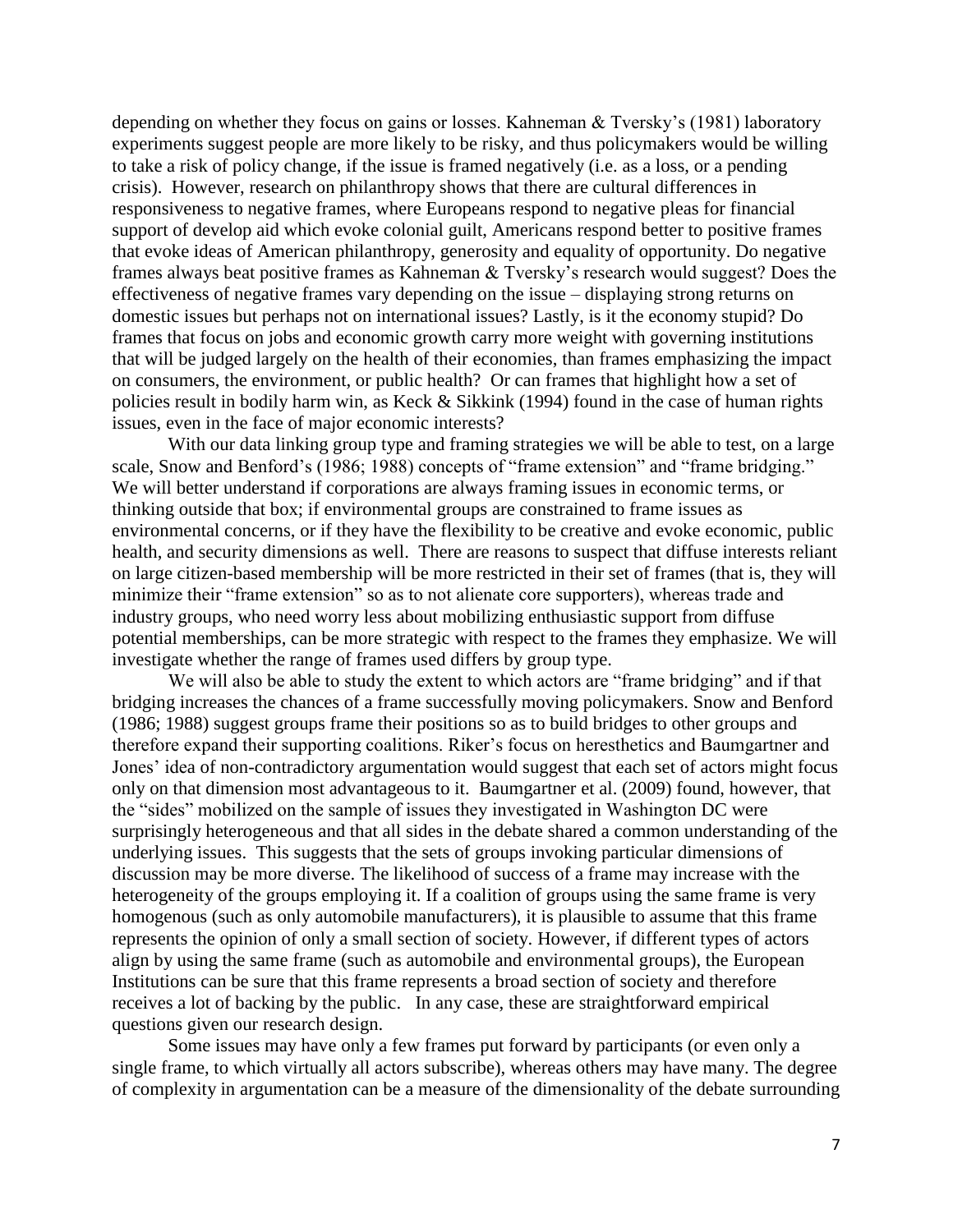depending on whether they focus on gains or losses. Kahneman & Tversky"s (1981) laboratory experiments suggest people are more likely to be risky, and thus policymakers would be willing to take a risk of policy change, if the issue is framed negatively (i.e. as a loss, or a pending crisis). However, research on philanthropy shows that there are cultural differences in responsiveness to negative frames, where Europeans respond to negative pleas for financial support of develop aid which evoke colonial guilt, Americans respond better to positive frames that evoke ideas of American philanthropy, generosity and equality of opportunity. Do negative frames always beat positive frames as Kahneman & Tversky"s research would suggest? Does the effectiveness of negative frames vary depending on the issue – displaying strong returns on domestic issues but perhaps not on international issues? Lastly, is it the economy stupid? Do frames that focus on jobs and economic growth carry more weight with governing institutions that will be judged largely on the health of their economies, than frames emphasizing the impact on consumers, the environment, or public health? Or can frames that highlight how a set of policies result in bodily harm win, as Keck & Sikkink (1994) found in the case of human rights issues, even in the face of major economic interests?

With our data linking group type and framing strategies we will be able to test, on a large scale, Snow and Benford's (1986; 1988) concepts of "frame extension" and "frame bridging." We will better understand if corporations are always framing issues in economic terms, or thinking outside that box; if environmental groups are constrained to frame issues as environmental concerns, or if they have the flexibility to be creative and evoke economic, public health, and security dimensions as well. There are reasons to suspect that diffuse interests reliant on large citizen-based membership will be more restricted in their set of frames (that is, they will minimize their "frame extension" so as to not alienate core supporters), whereas trade and industry groups, who need worry less about mobilizing enthusiastic support from diffuse potential memberships, can be more strategic with respect to the frames they emphasize. We will investigate whether the range of frames used differs by group type.

We will also be able to study the extent to which actors are "frame bridging" and if that bridging increases the chances of a frame successfully moving policymakers. Snow and Benford (1986; 1988) suggest groups frame their positions so as to build bridges to other groups and therefore expand their supporting coalitions. Riker"s focus on heresthetics and Baumgartner and Jones" idea of non-contradictory argumentation would suggest that each set of actors might focus only on that dimension most advantageous to it. Baumgartner et al. (2009) found, however, that the "sides" mobilized on the sample of issues they investigated in Washington DC were surprisingly heterogeneous and that all sides in the debate shared a common understanding of the underlying issues. This suggests that the sets of groups invoking particular dimensions of discussion may be more diverse. The likelihood of success of a frame may increase with the heterogeneity of the groups employing it. If a coalition of groups using the same frame is very homogenous (such as only automobile manufacturers), it is plausible to assume that this frame represents the opinion of only a small section of society. However, if different types of actors align by using the same frame (such as automobile and environmental groups), the European Institutions can be sure that this frame represents a broad section of society and therefore receives a lot of backing by the public. In any case, these are straightforward empirical questions given our research design.

Some issues may have only a few frames put forward by participants (or even only a single frame, to which virtually all actors subscribe), whereas others may have many. The degree of complexity in argumentation can be a measure of the dimensionality of the debate surrounding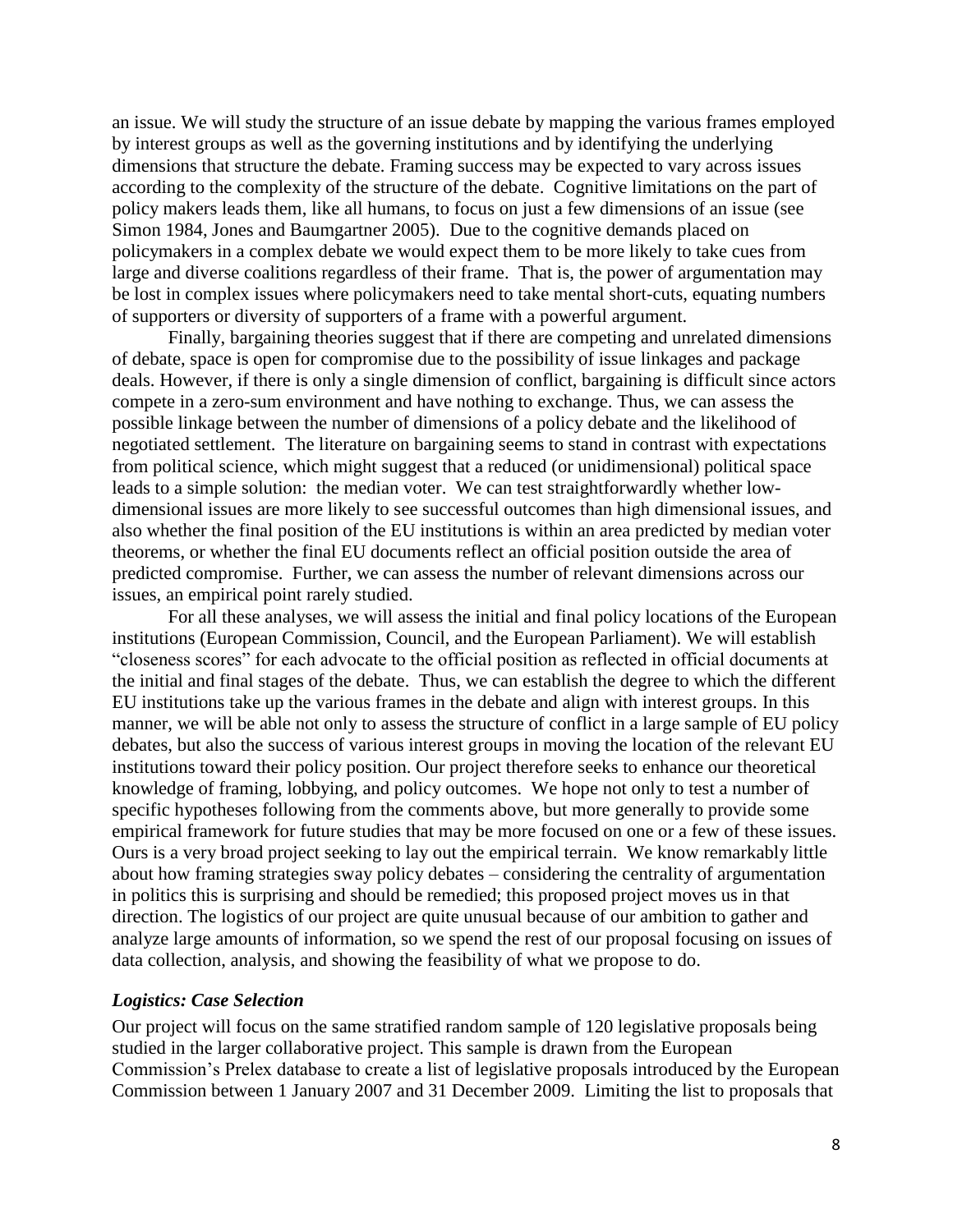an issue. We will study the structure of an issue debate by mapping the various frames employed by interest groups as well as the governing institutions and by identifying the underlying dimensions that structure the debate. Framing success may be expected to vary across issues according to the complexity of the structure of the debate. Cognitive limitations on the part of policy makers leads them, like all humans, to focus on just a few dimensions of an issue (see Simon 1984, Jones and Baumgartner 2005). Due to the cognitive demands placed on policymakers in a complex debate we would expect them to be more likely to take cues from large and diverse coalitions regardless of their frame. That is, the power of argumentation may be lost in complex issues where policymakers need to take mental short-cuts, equating numbers of supporters or diversity of supporters of a frame with a powerful argument.

Finally, bargaining theories suggest that if there are competing and unrelated dimensions of debate, space is open for compromise due to the possibility of issue linkages and package deals. However, if there is only a single dimension of conflict, bargaining is difficult since actors compete in a zero-sum environment and have nothing to exchange. Thus, we can assess the possible linkage between the number of dimensions of a policy debate and the likelihood of negotiated settlement. The literature on bargaining seems to stand in contrast with expectations from political science, which might suggest that a reduced (or unidimensional) political space leads to a simple solution: the median voter. We can test straightforwardly whether lowdimensional issues are more likely to see successful outcomes than high dimensional issues, and also whether the final position of the EU institutions is within an area predicted by median voter theorems, or whether the final EU documents reflect an official position outside the area of predicted compromise. Further, we can assess the number of relevant dimensions across our issues, an empirical point rarely studied.

For all these analyses, we will assess the initial and final policy locations of the European institutions (European Commission, Council, and the European Parliament). We will establish "closeness scores" for each advocate to the official position as reflected in official documents at the initial and final stages of the debate. Thus, we can establish the degree to which the different EU institutions take up the various frames in the debate and align with interest groups. In this manner, we will be able not only to assess the structure of conflict in a large sample of EU policy debates, but also the success of various interest groups in moving the location of the relevant EU institutions toward their policy position. Our project therefore seeks to enhance our theoretical knowledge of framing, lobbying, and policy outcomes. We hope not only to test a number of specific hypotheses following from the comments above, but more generally to provide some empirical framework for future studies that may be more focused on one or a few of these issues. Ours is a very broad project seeking to lay out the empirical terrain. We know remarkably little about how framing strategies sway policy debates – considering the centrality of argumentation in politics this is surprising and should be remedied; this proposed project moves us in that direction. The logistics of our project are quite unusual because of our ambition to gather and analyze large amounts of information, so we spend the rest of our proposal focusing on issues of data collection, analysis, and showing the feasibility of what we propose to do.

#### *Logistics: Case Selection*

Our project will focus on the same stratified random sample of 120 legislative proposals being studied in the larger collaborative project. This sample is drawn from the European Commission"s Prelex database to create a list of legislative proposals introduced by the European Commission between 1 January 2007 and 31 December 2009. Limiting the list to proposals that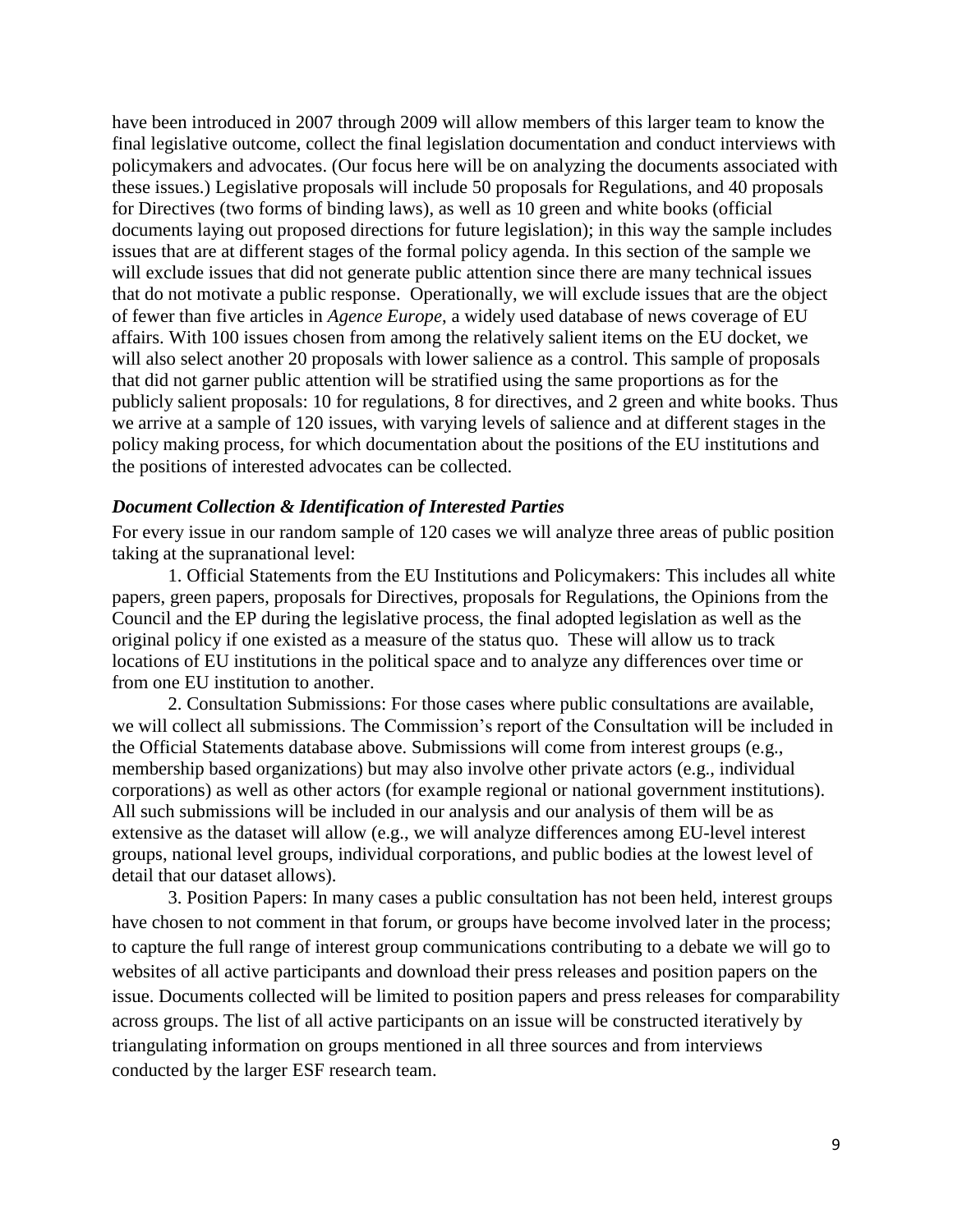have been introduced in 2007 through 2009 will allow members of this larger team to know the final legislative outcome, collect the final legislation documentation and conduct interviews with policymakers and advocates. (Our focus here will be on analyzing the documents associated with these issues.) Legislative proposals will include 50 proposals for Regulations, and 40 proposals for Directives (two forms of binding laws), as well as 10 green and white books (official documents laying out proposed directions for future legislation); in this way the sample includes issues that are at different stages of the formal policy agenda. In this section of the sample we will exclude issues that did not generate public attention since there are many technical issues that do not motivate a public response. Operationally, we will exclude issues that are the object of fewer than five articles in *Agence Europe*, a widely used database of news coverage of EU affairs. With 100 issues chosen from among the relatively salient items on the EU docket, we will also select another 20 proposals with lower salience as a control. This sample of proposals that did not garner public attention will be stratified using the same proportions as for the publicly salient proposals: 10 for regulations, 8 for directives, and 2 green and white books. Thus we arrive at a sample of 120 issues, with varying levels of salience and at different stages in the policy making process, for which documentation about the positions of the EU institutions and the positions of interested advocates can be collected.

#### *Document Collection & Identification of Interested Parties*

For every issue in our random sample of 120 cases we will analyze three areas of public position taking at the supranational level:

1. Official Statements from the EU Institutions and Policymakers: This includes all white papers, green papers, proposals for Directives, proposals for Regulations, the Opinions from the Council and the EP during the legislative process, the final adopted legislation as well as the original policy if one existed as a measure of the status quo. These will allow us to track locations of EU institutions in the political space and to analyze any differences over time or from one EU institution to another.

2. Consultation Submissions: For those cases where public consultations are available, we will collect all submissions. The Commission's report of the Consultation will be included in the Official Statements database above. Submissions will come from interest groups (e.g., membership based organizations) but may also involve other private actors (e.g., individual corporations) as well as other actors (for example regional or national government institutions). All such submissions will be included in our analysis and our analysis of them will be as extensive as the dataset will allow (e.g., we will analyze differences among EU-level interest groups, national level groups, individual corporations, and public bodies at the lowest level of detail that our dataset allows).

3. Position Papers: In many cases a public consultation has not been held, interest groups have chosen to not comment in that forum, or groups have become involved later in the process; to capture the full range of interest group communications contributing to a debate we will go to websites of all active participants and download their press releases and position papers on the issue. Documents collected will be limited to position papers and press releases for comparability across groups. The list of all active participants on an issue will be constructed iteratively by triangulating information on groups mentioned in all three sources and from interviews conducted by the larger ESF research team.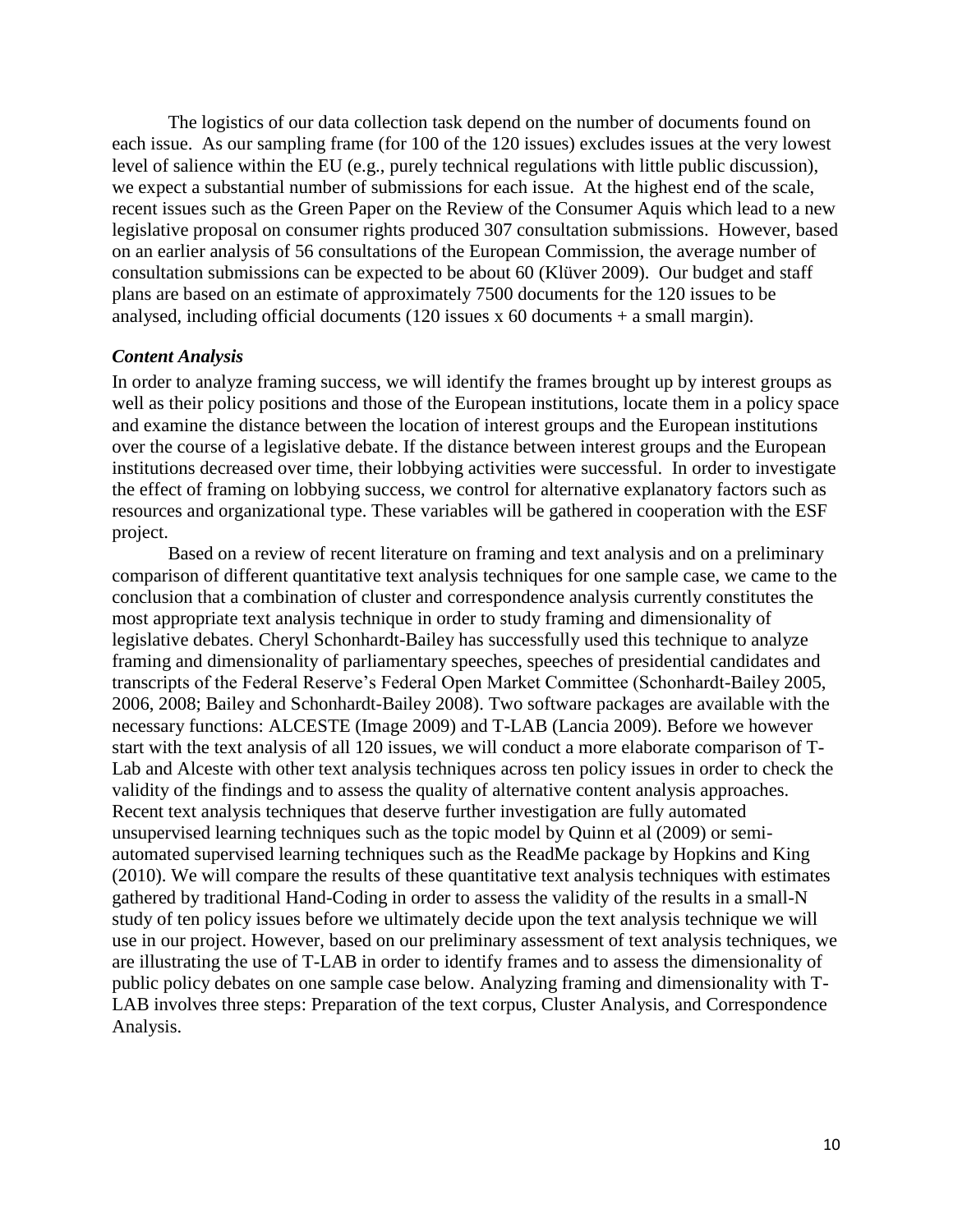The logistics of our data collection task depend on the number of documents found on each issue. As our sampling frame (for 100 of the 120 issues) excludes issues at the very lowest level of salience within the EU (e.g., purely technical regulations with little public discussion), we expect a substantial number of submissions for each issue. At the highest end of the scale, recent issues such as the Green Paper on the Review of the Consumer Aquis which lead to a new legislative proposal on consumer rights produced 307 consultation submissions. However, based on an earlier analysis of 56 consultations of the European Commission, the average number of consultation submissions can be expected to be about 60 (Klüver 2009). Our budget and staff plans are based on an estimate of approximately 7500 documents for the 120 issues to be analysed, including official documents (120 issues x 60 documents + a small margin).

#### *Content Analysis*

In order to analyze framing success, we will identify the frames brought up by interest groups as well as their policy positions and those of the European institutions, locate them in a policy space and examine the distance between the location of interest groups and the European institutions over the course of a legislative debate. If the distance between interest groups and the European institutions decreased over time, their lobbying activities were successful. In order to investigate the effect of framing on lobbying success, we control for alternative explanatory factors such as resources and organizational type. These variables will be gathered in cooperation with the ESF project.

Based on a review of recent literature on framing and text analysis and on a preliminary comparison of different quantitative text analysis techniques for one sample case, we came to the conclusion that a combination of cluster and correspondence analysis currently constitutes the most appropriate text analysis technique in order to study framing and dimensionality of legislative debates. Cheryl Schonhardt-Bailey has successfully used this technique to analyze framing and dimensionality of parliamentary speeches, speeches of presidential candidates and transcripts of the Federal Reserve"s Federal Open Market Committee (Schonhardt-Bailey 2005, 2006, 2008; Bailey and Schonhardt-Bailey 2008). Two software packages are available with the necessary functions: ALCESTE (Image 2009) and T-LAB (Lancia 2009). Before we however start with the text analysis of all 120 issues, we will conduct a more elaborate comparison of T-Lab and Alceste with other text analysis techniques across ten policy issues in order to check the validity of the findings and to assess the quality of alternative content analysis approaches. Recent text analysis techniques that deserve further investigation are fully automated unsupervised learning techniques such as the topic model by Quinn et al (2009) or semiautomated supervised learning techniques such as the ReadMe package by Hopkins and King (2010). We will compare the results of these quantitative text analysis techniques with estimates gathered by traditional Hand-Coding in order to assess the validity of the results in a small-N study of ten policy issues before we ultimately decide upon the text analysis technique we will use in our project. However, based on our preliminary assessment of text analysis techniques, we are illustrating the use of T-LAB in order to identify frames and to assess the dimensionality of public policy debates on one sample case below. Analyzing framing and dimensionality with T-LAB involves three steps: Preparation of the text corpus, Cluster Analysis, and Correspondence Analysis.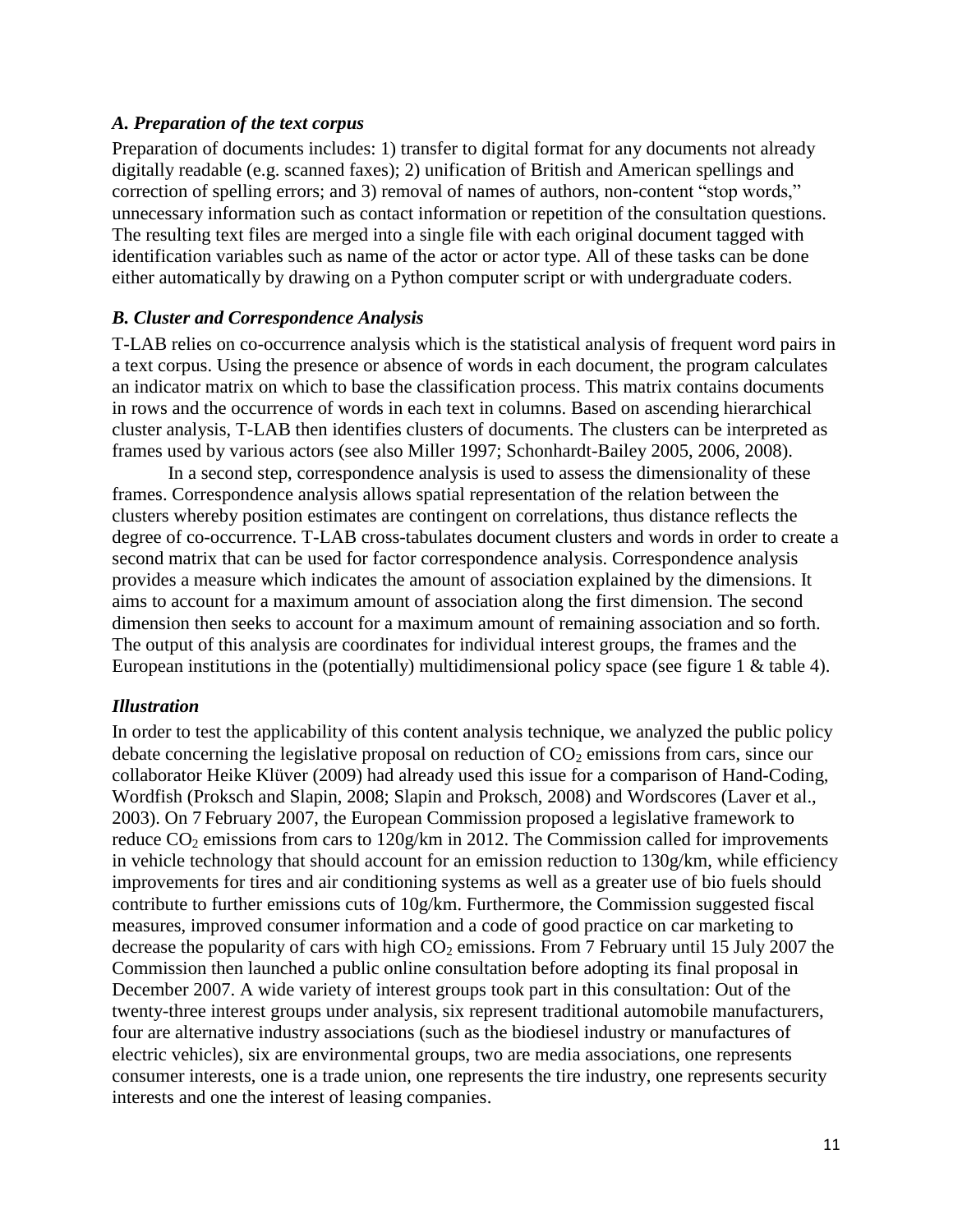### *A. Preparation of the text corpus*

Preparation of documents includes: 1) transfer to digital format for any documents not already digitally readable (e.g. scanned faxes); 2) unification of British and American spellings and correction of spelling errors; and 3) removal of names of authors, non-content "stop words," unnecessary information such as contact information or repetition of the consultation questions. The resulting text files are merged into a single file with each original document tagged with identification variables such as name of the actor or actor type. All of these tasks can be done either automatically by drawing on a Python computer script or with undergraduate coders.

### *B. Cluster and Correspondence Analysis*

T-LAB relies on co-occurrence analysis which is the statistical analysis of frequent word pairs in a text corpus. Using the presence or absence of words in each document, the program calculates an indicator matrix on which to base the classification process. This matrix contains documents in rows and the occurrence of words in each text in columns. Based on ascending hierarchical cluster analysis, T-LAB then identifies clusters of documents. The clusters can be interpreted as frames used by various actors (see also Miller 1997; Schonhardt-Bailey 2005, 2006, 2008).

In a second step, correspondence analysis is used to assess the dimensionality of these frames. Correspondence analysis allows spatial representation of the relation between the clusters whereby position estimates are contingent on correlations, thus distance reflects the degree of co-occurrence. T-LAB cross-tabulates document clusters and words in order to create a second matrix that can be used for factor correspondence analysis. Correspondence analysis provides a measure which indicates the amount of association explained by the dimensions. It aims to account for a maximum amount of association along the first dimension. The second dimension then seeks to account for a maximum amount of remaining association and so forth. The output of this analysis are coordinates for individual interest groups, the frames and the European institutions in the (potentially) multidimensional policy space (see figure 1 & table 4).

### *Illustration*

In order to test the applicability of this content analysis technique, we analyzed the public policy debate concerning the legislative proposal on reduction of  $CO<sub>2</sub>$  emissions from cars, since our collaborator Heike Klüver (2009) had already used this issue for a comparison of Hand-Coding, Wordfish (Proksch and Slapin, 2008; Slapin and Proksch, 2008) and Wordscores (Laver et al., 2003). On 7 February 2007, the European Commission proposed a legislative framework to reduce  $CO_2$  emissions from cars to  $120g/km$  in 2012. The Commission called for improvements in vehicle technology that should account for an emission reduction to  $130g/km$ , while efficiency improvements for tires and air conditioning systems as well as a greater use of bio fuels should contribute to further emissions cuts of 10g/km. Furthermore, the Commission suggested fiscal measures, improved consumer information and a code of good practice on car marketing to decrease the popularity of cars with high  $CO<sub>2</sub>$  emissions. From 7 February until 15 July 2007 the Commission then launched a public online consultation before adopting its final proposal in December 2007. A wide variety of interest groups took part in this consultation: Out of the twenty-three interest groups under analysis, six represent traditional automobile manufacturers, four are alternative industry associations (such as the biodiesel industry or manufactures of electric vehicles), six are environmental groups, two are media associations, one represents consumer interests, one is a trade union, one represents the tire industry, one represents security interests and one the interest of leasing companies.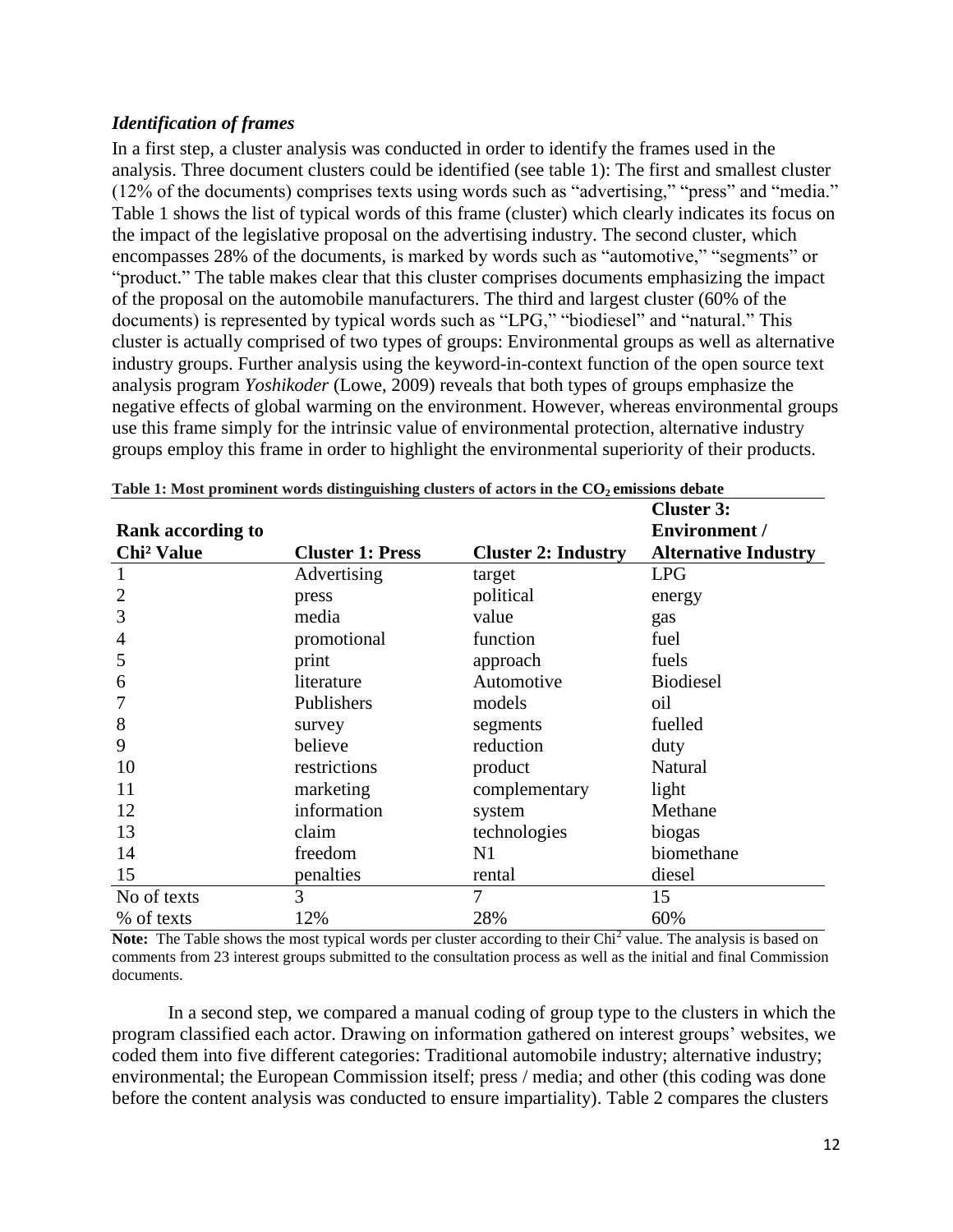### *Identification of frames*

In a first step, a cluster analysis was conducted in order to identify the frames used in the analysis. Three document clusters could be identified (see table 1): The first and smallest cluster (12% of the documents) comprises texts using words such as "advertising," "press" and "media." Table 1 shows the list of typical words of this frame (cluster) which clearly indicates its focus on the impact of the legislative proposal on the advertising industry. The second cluster, which encompasses 28% of the documents, is marked by words such as "automotive," "segments" or "product." The table makes clear that this cluster comprises documents emphasizing the impact of the proposal on the automobile manufacturers. The third and largest cluster (60% of the documents) is represented by typical words such as "LPG," "biodiesel" and "natural." This cluster is actually comprised of two types of groups: Environmental groups as well as alternative industry groups. Further analysis using the keyword-in-context function of the open source text analysis program *Yoshikoder* (Lowe, 2009) reveals that both types of groups emphasize the negative effects of global warming on the environment. However, whereas environmental groups use this frame simply for the intrinsic value of environmental protection, alternative industry groups employ this frame in order to highlight the environmental superiority of their products.

|                          | Table 1. Most prominent words distinguishing ensiers of actors in the CO <sub>2</sub> emissions debate |                            |                             |
|--------------------------|--------------------------------------------------------------------------------------------------------|----------------------------|-----------------------------|
|                          |                                                                                                        |                            | <b>Cluster 3:</b>           |
| <b>Rank according to</b> |                                                                                                        |                            | <b>Environment /</b>        |
| Chi <sup>2</sup> Value   | <b>Cluster 1: Press</b>                                                                                | <b>Cluster 2: Industry</b> | <b>Alternative Industry</b> |
| $\mathbf{1}$             | Advertising                                                                                            | target                     | <b>LPG</b>                  |
| $\overline{2}$           | press                                                                                                  | political                  | energy                      |
| 3                        | media                                                                                                  | value                      | gas                         |
| 4                        | promotional                                                                                            | function                   | fuel                        |
| 5                        | print                                                                                                  | approach                   | fuels                       |
| 6                        | literature                                                                                             | Automotive                 | <b>Biodiesel</b>            |
| 7                        | Publishers                                                                                             | models                     | oil                         |
| 8                        | survey                                                                                                 | segments                   | fuelled                     |
| 9                        | believe                                                                                                | reduction                  | duty                        |
| 10                       | restrictions                                                                                           | product                    | Natural                     |
| 11                       | marketing                                                                                              | complementary              | light                       |
| 12                       | information                                                                                            | system                     | Methane                     |
| 13                       | claim                                                                                                  | technologies               | biogas                      |
| 14                       | freedom                                                                                                | N1                         | biomethane                  |
| 15                       | penalties                                                                                              | rental                     | diesel                      |
| No of texts              | 3                                                                                                      | 7                          | 15                          |
| % of texts               | 12%                                                                                                    | 28%                        | 60%                         |

**Table 1: Most prominent words distinguishing clusters of actors in the CO2 emissions debate**

Note: The Table shows the most typical words per cluster according to their Chi<sup>2</sup> value. The analysis is based on comments from 23 interest groups submitted to the consultation process as well as the initial and final Commission documents.

In a second step, we compared a manual coding of group type to the clusters in which the program classified each actor. Drawing on information gathered on interest groups" websites, we coded them into five different categories: Traditional automobile industry; alternative industry; environmental; the European Commission itself; press / media; and other (this coding was done before the content analysis was conducted to ensure impartiality). Table 2 compares the clusters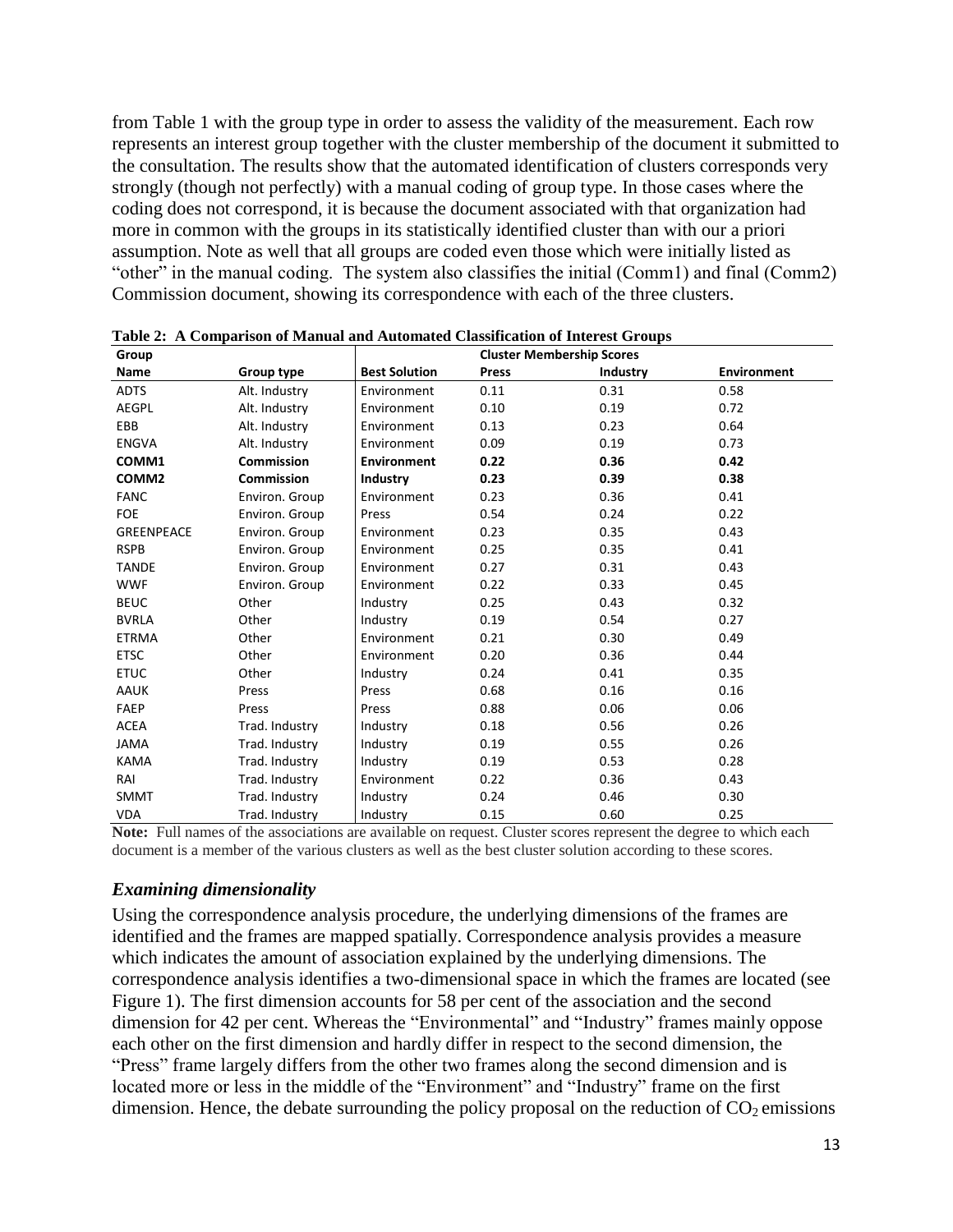from Table 1 with the group type in order to assess the validity of the measurement. Each row represents an interest group together with the cluster membership of the document it submitted to the consultation. The results show that the automated identification of clusters corresponds very strongly (though not perfectly) with a manual coding of group type. In those cases where the coding does not correspond, it is because the document associated with that organization had more in common with the groups in its statistically identified cluster than with our a priori assumption. Note as well that all groups are coded even those which were initially listed as "other" in the manual coding. The system also classifies the initial (Comm1) and final (Comm2) Commission document, showing its correspondence with each of the three clusters.

| Group             |                   |                      | <b>Cluster Membership Scores</b> |          |                    |
|-------------------|-------------------|----------------------|----------------------------------|----------|--------------------|
| <b>Name</b>       | Group type        | <b>Best Solution</b> | Press                            | Industry | <b>Environment</b> |
| <b>ADTS</b>       | Alt. Industry     | Environment          | 0.11                             | 0.31     | 0.58               |
| <b>AEGPL</b>      | Alt. Industry     | Environment          | 0.10                             | 0.19     | 0.72               |
| EBB               | Alt. Industry     | Environment          | 0.13                             | 0.23     | 0.64               |
| <b>ENGVA</b>      | Alt. Industry     | Environment          | 0.09                             | 0.19     | 0.73               |
| COMM1             | <b>Commission</b> | <b>Environment</b>   | 0.22                             | 0.36     | 0.42               |
| COMM <sub>2</sub> | <b>Commission</b> | <b>Industry</b>      | 0.23                             | 0.39     | 0.38               |
| <b>FANC</b>       | Environ. Group    | Environment          | 0.23                             | 0.36     | 0.41               |
| <b>FOE</b>        | Environ. Group    | Press                | 0.54                             | 0.24     | 0.22               |
| <b>GREENPEACE</b> | Environ. Group    | Environment          | 0.23                             | 0.35     | 0.43               |
| <b>RSPB</b>       | Environ. Group    | Environment          | 0.25                             | 0.35     | 0.41               |
| <b>TANDE</b>      | Environ. Group    | Environment          | 0.27                             | 0.31     | 0.43               |
| <b>WWF</b>        | Environ. Group    | Environment          | 0.22                             | 0.33     | 0.45               |
| <b>BEUC</b>       | Other             | Industry             | 0.25                             | 0.43     | 0.32               |
| <b>BVRLA</b>      | Other             | Industry             | 0.19                             | 0.54     | 0.27               |
| <b>ETRMA</b>      | Other             | Environment          | 0.21                             | 0.30     | 0.49               |
| <b>ETSC</b>       | Other             | Environment          | 0.20                             | 0.36     | 0.44               |
| <b>ETUC</b>       | Other             | Industry             | 0.24                             | 0.41     | 0.35               |
| <b>AAUK</b>       | Press             | Press                | 0.68                             | 0.16     | 0.16               |
| <b>FAEP</b>       | Press             | Press                | 0.88                             | 0.06     | 0.06               |
| <b>ACEA</b>       | Trad. Industry    | Industry             | 0.18                             | 0.56     | 0.26               |
| <b>JAMA</b>       | Trad. Industry    | Industry             | 0.19                             | 0.55     | 0.26               |
| <b>KAMA</b>       | Trad. Industry    | Industry             | 0.19                             | 0.53     | 0.28               |
| RAI               | Trad. Industry    | Environment          | 0.22                             | 0.36     | 0.43               |
| <b>SMMT</b>       | Trad. Industry    | Industry             | 0.24                             | 0.46     | 0.30               |
| <b>VDA</b>        | Trad. Industry    | Industry             | 0.15                             | 0.60     | 0.25               |

**Table 2: A Comparison of Manual and Automated Classification of Interest Groups**

**Note:** Full names of the associations are available on request. Cluster scores represent the degree to which each document is a member of the various clusters as well as the best cluster solution according to these scores.

#### *Examining dimensionality*

Using the correspondence analysis procedure, the underlying dimensions of the frames are identified and the frames are mapped spatially. Correspondence analysis provides a measure which indicates the amount of association explained by the underlying dimensions. The correspondence analysis identifies a two-dimensional space in which the frames are located (see Figure 1). The first dimension accounts for 58 per cent of the association and the second dimension for 42 per cent. Whereas the "Environmental" and "Industry" frames mainly oppose each other on the first dimension and hardly differ in respect to the second dimension, the "Press" frame largely differs from the other two frames along the second dimension and is located more or less in the middle of the "Environment" and "Industry" frame on the first dimension. Hence, the debate surrounding the policy proposal on the reduction of  $CO<sub>2</sub>$  emissions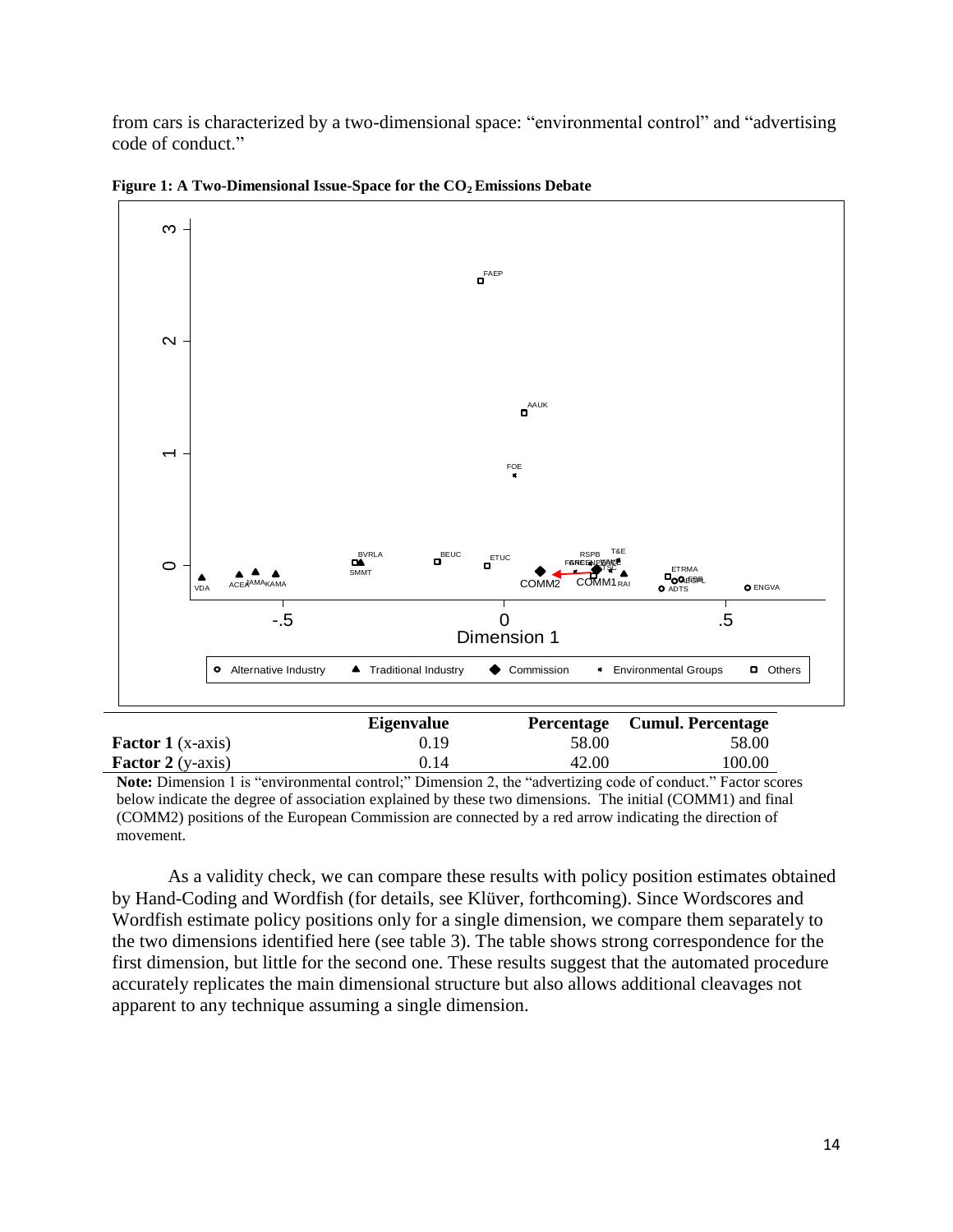from cars is characterized by a two-dimensional space: "environmental control" and "advertising code of conduct."



**Figure 1: A Two-Dimensional Issue-Space for the CO2 Emissions Debate**

|                              | <b>Eigenvalue</b> |       | Percentage Cumul. Percentage |
|------------------------------|-------------------|-------|------------------------------|
| <b>Factor 1</b> ( $x$ -axis) | 0.19              | 58.00 | 58.00                        |
| <b>Factor 2</b> (y-axis)     | 0.14              | 42.00 | 100.00                       |

**Note:** Dimension 1 is "environmental control;" Dimension 2, the "advertizing code of conduct." Factor scores below indicate the degree of association explained by these two dimensions. The initial (COMM1) and final (COMM2) positions of the European Commission are connected by a red arrow indicating the direction of movement.

As a validity check, we can compare these results with policy position estimates obtained by Hand-Coding and Wordfish (for details, see Klüver, forthcoming). Since Wordscores and Wordfish estimate policy positions only for a single dimension, we compare them separately to the two dimensions identified here (see table 3). The table shows strong correspondence for the first dimension, but little for the second one. These results suggest that the automated procedure accurately replicates the main dimensional structure but also allows additional cleavages not apparent to any technique assuming a single dimension.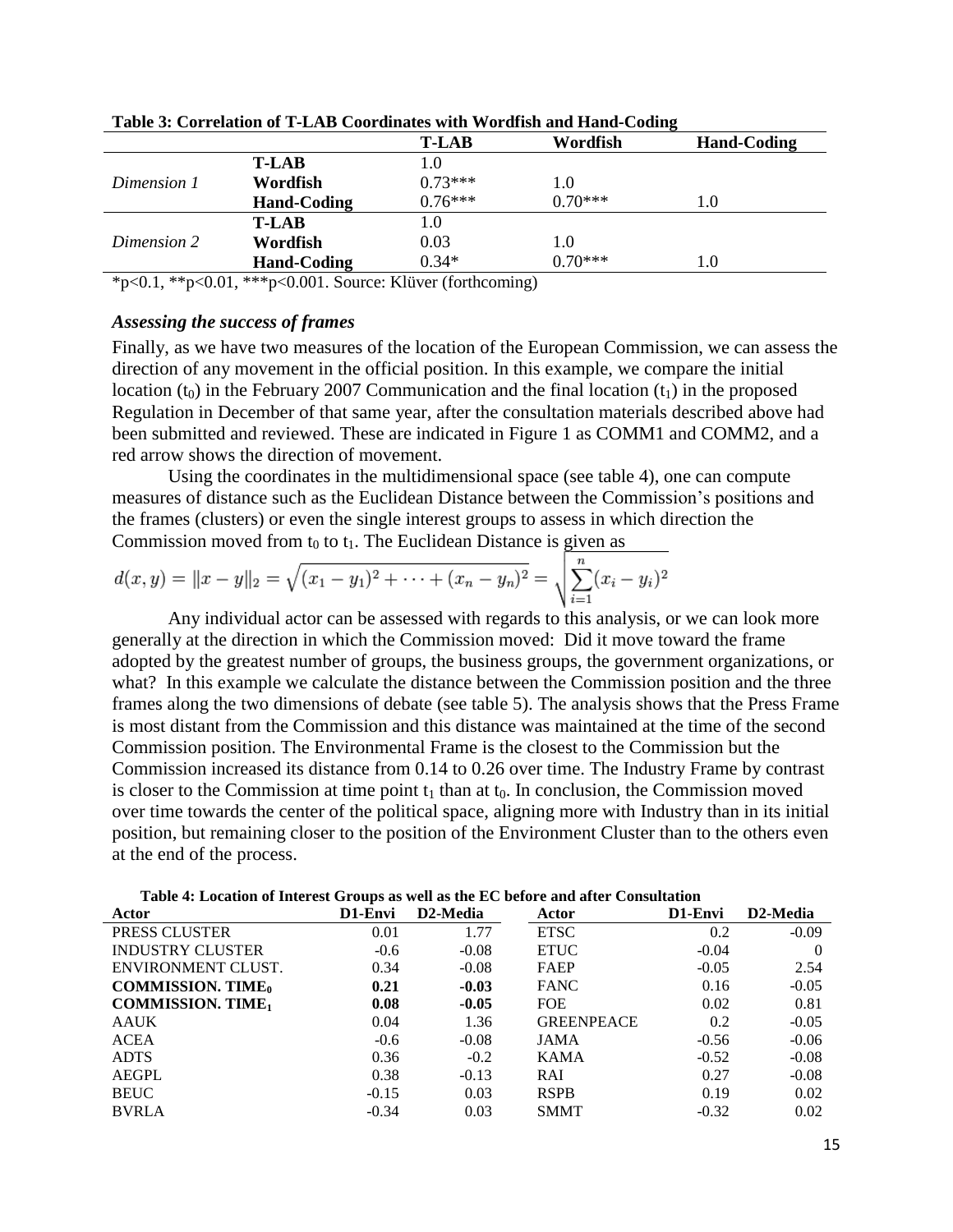|             |                    | <b>T-LAB</b> | Wordfish  | <b>Hand-Coding</b> |
|-------------|--------------------|--------------|-----------|--------------------|
|             | <b>T-LAB</b>       | 1.0          |           |                    |
| Dimension 1 | Wordfish           | $0.73***$    | 1.0       |                    |
|             | <b>Hand-Coding</b> | $0.76***$    | $0.70***$ | 1.0                |
|             | <b>T-LAB</b>       | 1.0          |           |                    |
| Dimension 2 | Wordfish           | 0.03         | 1.0       |                    |
|             | <b>Hand-Coding</b> | $0.34*$      | $0.70***$ | 1.0                |
|             |                    |              |           |                    |

**Table 3: Correlation of T-LAB Coordinates with Wordfish and Hand-Coding**

\*p<0.1, \*\*p<0.01, \*\*\*p<0.001. Source: Klüver (forthcoming)

### *Assessing the success of frames*

Finally, as we have two measures of the location of the European Commission, we can assess the direction of any movement in the official position. In this example, we compare the initial location  $(t_0)$  in the February 2007 Communication and the final location  $(t_1)$  in the proposed Regulation in December of that same year, after the consultation materials described above had been submitted and reviewed. These are indicated in Figure 1 as COMM1 and COMM2, and a red arrow shows the direction of movement.

Using the coordinates in the multidimensional space (see table 4), one can compute measures of distance such as the Euclidean Distance between the Commission"s positions and the frames (clusters) or even the single interest groups to assess in which direction the Commission moved from  $t_0$  to  $t_1$ . The Euclidean Distance is given as

$$
d(x,y) = ||x-y||_2 = \sqrt{(x_1-y_1)^2 + \dots + (x_n-y_n)^2} = \sqrt{\sum_{i=1}^n (x_i-y_i)^2}
$$

Any individual actor can be assessed with regards to this analysis, or we can look more generally at the direction in which the Commission moved: Did it move toward the frame adopted by the greatest number of groups, the business groups, the government organizations, or what? In this example we calculate the distance between the Commission position and the three frames along the two dimensions of debate (see table 5). The analysis shows that the Press Frame is most distant from the Commission and this distance was maintained at the time of the second Commission position. The Environmental Frame is the closest to the Commission but the Commission increased its distance from 0.14 to 0.26 over time. The Industry Frame by contrast is closer to the Commission at time point  $t_1$  than at  $t_0$ . In conclusion, the Commission moved over time towards the center of the political space, aligning more with Industry than in its initial position, but remaining closer to the position of the Environment Cluster than to the others even at the end of the process.

| Table 4: Location of Interest Groups as well as the EC before and after Consultation |  |  |  |  |
|--------------------------------------------------------------------------------------|--|--|--|--|
|                                                                                      |  |  |  |  |

| Actor                                | D1-Envi | D2-Media | Actor             | D1-Envi | D2-Media |
|--------------------------------------|---------|----------|-------------------|---------|----------|
| PRESS CLUSTER                        | 0.01    | 1.77     | <b>ETSC</b>       | 0.2     | $-0.09$  |
| <b>INDUSTRY CLUSTER</b>              | $-0.6$  | $-0.08$  | <b>ETUC</b>       | $-0.04$ | $\Omega$ |
| ENVIRONMENT CLUST.                   | 0.34    | $-0.08$  | FAEP              | $-0.05$ | 2.54     |
| <b>COMMISSION. TIME</b> <sup>0</sup> | 0.21    | $-0.03$  | <b>FANC</b>       | 0.16    | $-0.05$  |
| <b>COMMISSION. TIME</b> <sub>1</sub> | 0.08    | $-0.05$  | <b>FOE</b>        | 0.02    | 0.81     |
| <b>AAUK</b>                          | 0.04    | 1.36     | <b>GREENPEACE</b> | 0.2     | $-0.05$  |
| <b>ACEA</b>                          | $-0.6$  | $-0.08$  | JAMA              | $-0.56$ | $-0.06$  |
| <b>ADTS</b>                          | 0.36    | $-0.2$   | <b>KAMA</b>       | $-0.52$ | $-0.08$  |
| <b>AEGPL</b>                         | 0.38    | $-0.13$  | <b>RAI</b>        | 0.27    | $-0.08$  |
| <b>BEUC</b>                          | $-0.15$ | 0.03     | <b>RSPB</b>       | 0.19    | 0.02     |
| <b>BVRLA</b>                         | $-0.34$ | 0.03     | <b>SMMT</b>       | $-0.32$ | 0.02     |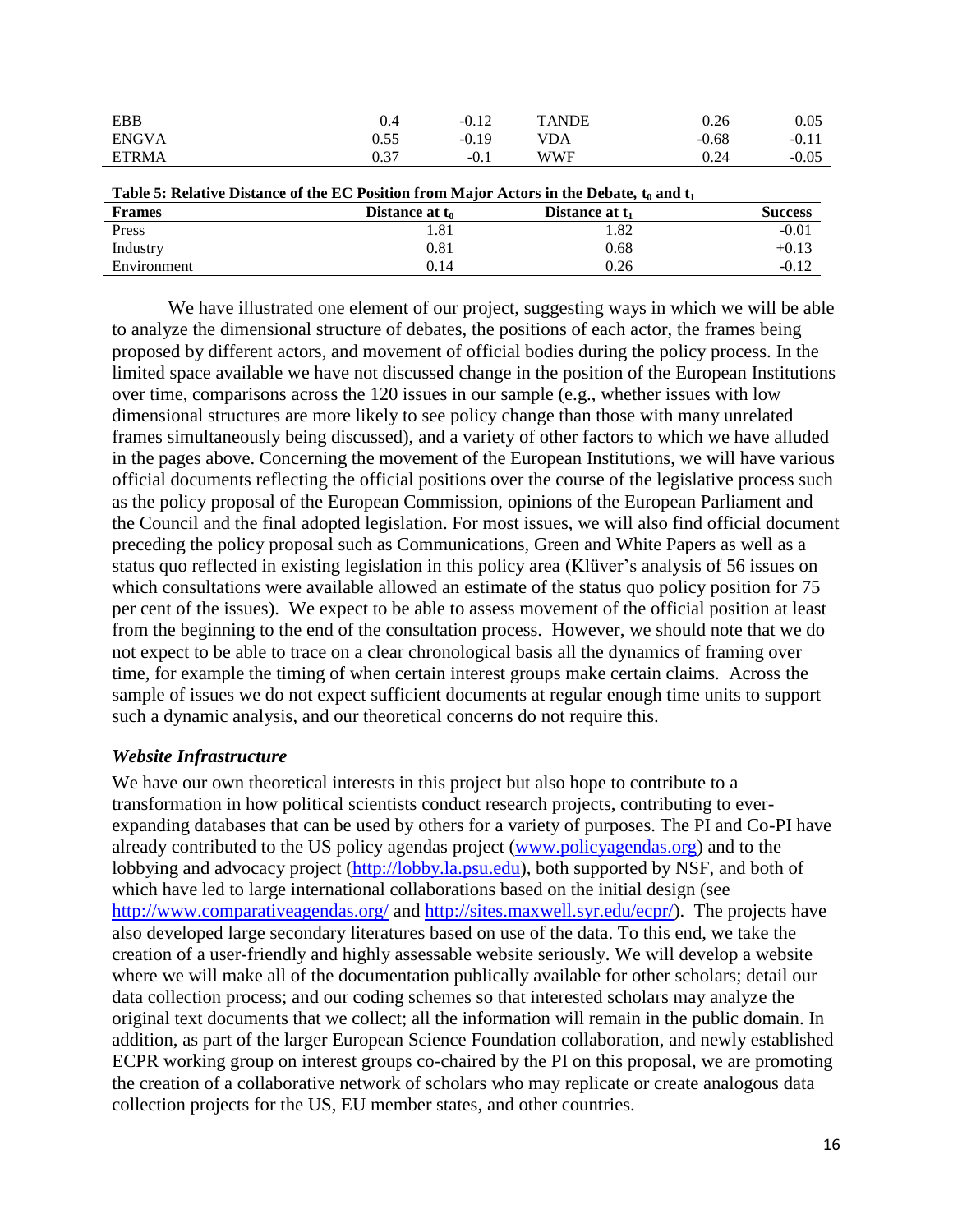| EBB   | 0.4  | $-0.12$ | <b>TANDE</b> | 0.26    | 0.05    |
|-------|------|---------|--------------|---------|---------|
| ENGVA | 0.55 | $-0.19$ | VDA          | $-0.68$ | $-0.11$ |
| ETRMA | ).37 | $-0.1$  | <b>WWF</b>   | 0.24    | $-0.05$ |

| Table 5: Relative Distance of the EC Position from Major Actors in the Debate, $t_0$ and $t_1$ |                            |                            |                |  |
|------------------------------------------------------------------------------------------------|----------------------------|----------------------------|----------------|--|
| <b>Frames</b>                                                                                  | Distance at t <sub>0</sub> | Distance at t <sub>1</sub> | <b>Success</b> |  |
| Press                                                                                          | l.81                       | l.82                       | $-0.01$        |  |
| Industry                                                                                       | 0.81                       | 0.68                       | $+0.13$        |  |
| Environment                                                                                    | 0.14                       | 0.26                       | $-0.12$        |  |

We have illustrated one element of our project, suggesting ways in which we will be able to analyze the dimensional structure of debates, the positions of each actor, the frames being proposed by different actors, and movement of official bodies during the policy process. In the limited space available we have not discussed change in the position of the European Institutions over time, comparisons across the 120 issues in our sample (e.g., whether issues with low dimensional structures are more likely to see policy change than those with many unrelated frames simultaneously being discussed), and a variety of other factors to which we have alluded in the pages above. Concerning the movement of the European Institutions, we will have various official documents reflecting the official positions over the course of the legislative process such as the policy proposal of the European Commission, opinions of the European Parliament and the Council and the final adopted legislation. For most issues, we will also find official document preceding the policy proposal such as Communications, Green and White Papers as well as a status quo reflected in existing legislation in this policy area (Klüver's analysis of 56 issues on which consultations were available allowed an estimate of the status quo policy position for 75 per cent of the issues). We expect to be able to assess movement of the official position at least from the beginning to the end of the consultation process. However, we should note that we do not expect to be able to trace on a clear chronological basis all the dynamics of framing over time, for example the timing of when certain interest groups make certain claims. Across the sample of issues we do not expect sufficient documents at regular enough time units to support such a dynamic analysis, and our theoretical concerns do not require this.

### *Website Infrastructure*

We have our own theoretical interests in this project but also hope to contribute to a transformation in how political scientists conduct research projects, contributing to everexpanding databases that can be used by others for a variety of purposes. The PI and Co-PI have already contributed to the US policy agendas project [\(www.policyagendas.org\)](http://www.policyagendas.org/) and to the lobbying and advocacy project [\(http://lobby.la.psu.edu\)](http://lobby.la.psu.edu/), both supported by NSF, and both of which have led to large international collaborations based on the initial design (see <http://www.comparativeagendas.org/> and [http://sites.maxwell.syr.edu/ecpr/\)](http://sites.maxwell.syr.edu/ecpr/). The projects have also developed large secondary literatures based on use of the data. To this end, we take the creation of a user-friendly and highly assessable website seriously. We will develop a website where we will make all of the documentation publically available for other scholars; detail our data collection process; and our coding schemes so that interested scholars may analyze the original text documents that we collect; all the information will remain in the public domain. In addition, as part of the larger European Science Foundation collaboration, and newly established ECPR working group on interest groups co-chaired by the PI on this proposal, we are promoting the creation of a collaborative network of scholars who may replicate or create analogous data collection projects for the US, EU member states, and other countries.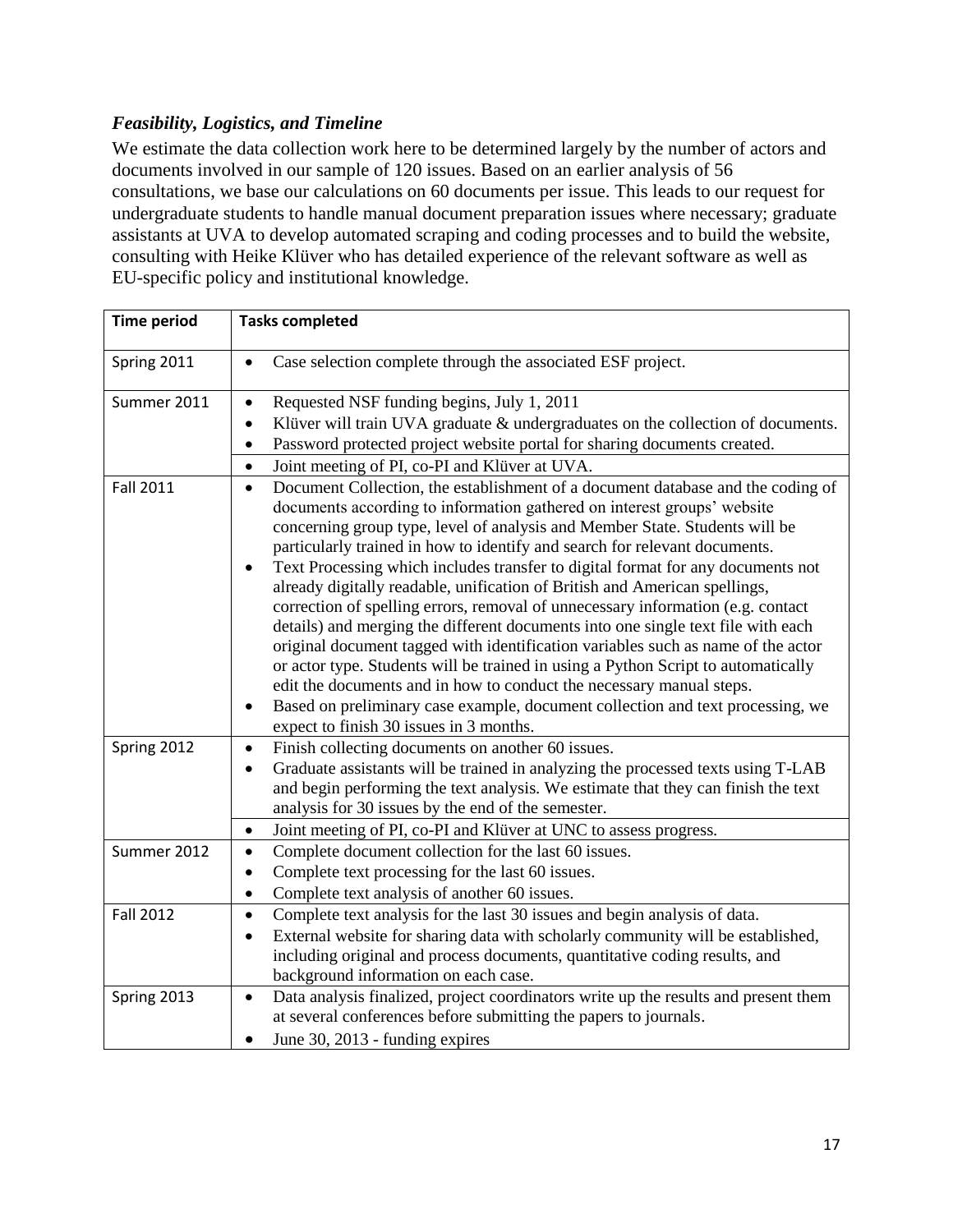## *Feasibility, Logistics, and Timeline*

We estimate the data collection work here to be determined largely by the number of actors and documents involved in our sample of 120 issues. Based on an earlier analysis of 56 consultations, we base our calculations on 60 documents per issue. This leads to our request for undergraduate students to handle manual document preparation issues where necessary; graduate assistants at UVA to develop automated scraping and coding processes and to build the website, consulting with Heike Klüver who has detailed experience of the relevant software as well as EU-specific policy and institutional knowledge.

| <b>Time period</b> | <b>Tasks completed</b>                                                                                                                                                                                                                                                                                                                                                                                                                                                                                                                                                                                                                                                                                                                                                                                                                                                                                                                                                                                                                                                       |
|--------------------|------------------------------------------------------------------------------------------------------------------------------------------------------------------------------------------------------------------------------------------------------------------------------------------------------------------------------------------------------------------------------------------------------------------------------------------------------------------------------------------------------------------------------------------------------------------------------------------------------------------------------------------------------------------------------------------------------------------------------------------------------------------------------------------------------------------------------------------------------------------------------------------------------------------------------------------------------------------------------------------------------------------------------------------------------------------------------|
| Spring 2011        | Case selection complete through the associated ESF project.                                                                                                                                                                                                                                                                                                                                                                                                                                                                                                                                                                                                                                                                                                                                                                                                                                                                                                                                                                                                                  |
| Summer 2011        | Requested NSF funding begins, July 1, 2011<br>٠<br>Klüver will train UVA graduate & undergraduates on the collection of documents.<br>$\bullet$<br>Password protected project website portal for sharing documents created.<br>$\bullet$<br>Joint meeting of PI, co-PI and Klüver at UVA.<br>$\bullet$                                                                                                                                                                                                                                                                                                                                                                                                                                                                                                                                                                                                                                                                                                                                                                       |
| <b>Fall 2011</b>   | Document Collection, the establishment of a document database and the coding of<br>$\bullet$<br>documents according to information gathered on interest groups' website<br>concerning group type, level of analysis and Member State. Students will be<br>particularly trained in how to identify and search for relevant documents.<br>Text Processing which includes transfer to digital format for any documents not<br>$\bullet$<br>already digitally readable, unification of British and American spellings,<br>correction of spelling errors, removal of unnecessary information (e.g. contact<br>details) and merging the different documents into one single text file with each<br>original document tagged with identification variables such as name of the actor<br>or actor type. Students will be trained in using a Python Script to automatically<br>edit the documents and in how to conduct the necessary manual steps.<br>Based on preliminary case example, document collection and text processing, we<br>٠<br>expect to finish 30 issues in 3 months. |
| Spring 2012        | Finish collecting documents on another 60 issues.<br>$\bullet$<br>Graduate assistants will be trained in analyzing the processed texts using T-LAB<br>$\bullet$<br>and begin performing the text analysis. We estimate that they can finish the text<br>analysis for 30 issues by the end of the semester.<br>Joint meeting of PI, co-PI and Klüver at UNC to assess progress.<br>$\bullet$                                                                                                                                                                                                                                                                                                                                                                                                                                                                                                                                                                                                                                                                                  |
| Summer 2012        | Complete document collection for the last 60 issues.<br>$\bullet$<br>Complete text processing for the last 60 issues.<br>$\bullet$<br>Complete text analysis of another 60 issues.<br>$\bullet$                                                                                                                                                                                                                                                                                                                                                                                                                                                                                                                                                                                                                                                                                                                                                                                                                                                                              |
| <b>Fall 2012</b>   | Complete text analysis for the last 30 issues and begin analysis of data.<br>$\bullet$<br>External website for sharing data with scholarly community will be established,<br>$\bullet$<br>including original and process documents, quantitative coding results, and<br>background information on each case.                                                                                                                                                                                                                                                                                                                                                                                                                                                                                                                                                                                                                                                                                                                                                                 |
| Spring 2013        | Data analysis finalized, project coordinators write up the results and present them<br>$\bullet$<br>at several conferences before submitting the papers to journals.<br>June 30, 2013 - funding expires                                                                                                                                                                                                                                                                                                                                                                                                                                                                                                                                                                                                                                                                                                                                                                                                                                                                      |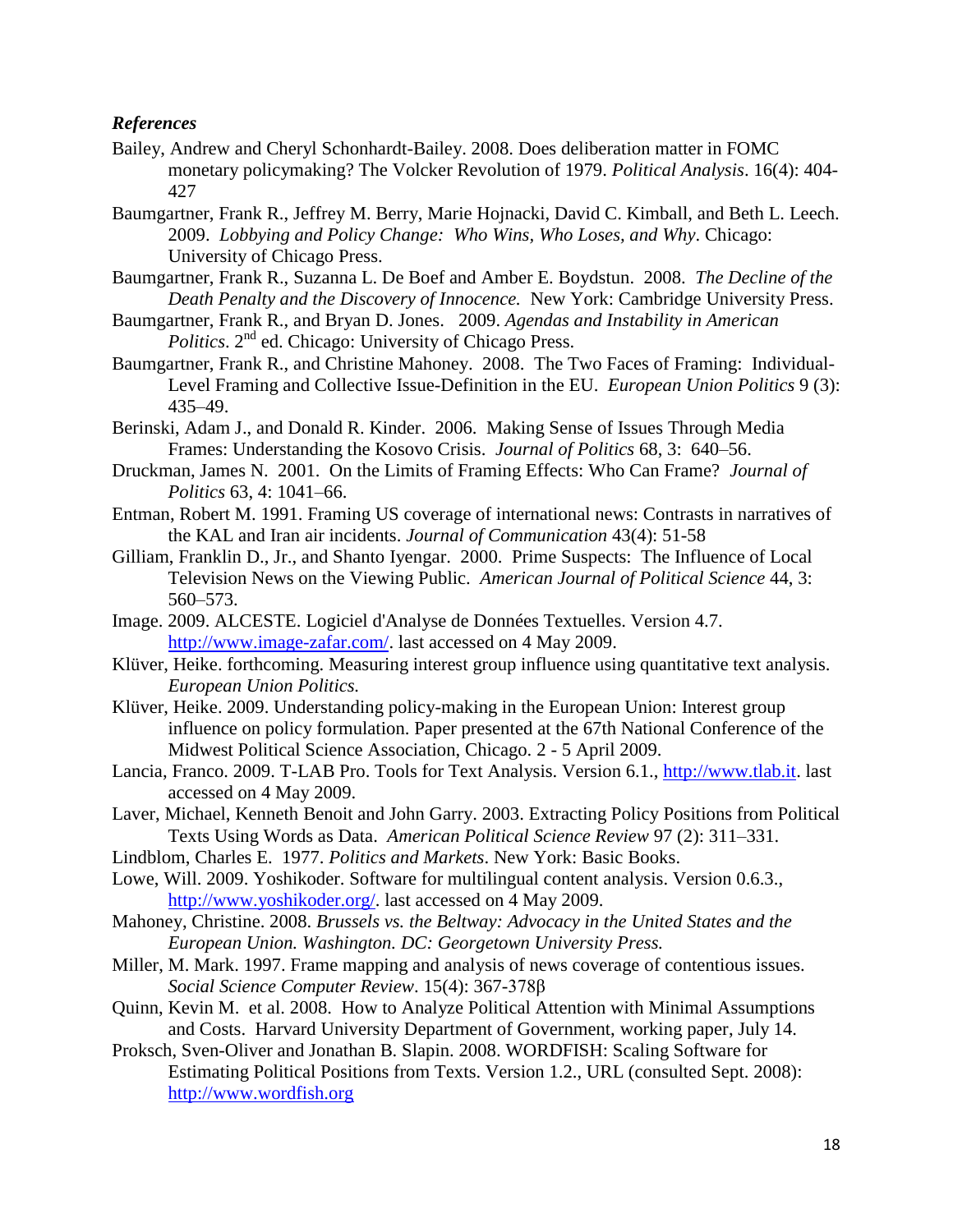#### *References*

- Bailey, Andrew and Cheryl Schonhardt-Bailey. 2008. Does deliberation matter in FOMC monetary policymaking? The Volcker Revolution of 1979. *Political Analysis*. 16(4): 404- 427
- Baumgartner, Frank R., Jeffrey M. Berry, Marie Hojnacki, David C. Kimball, and Beth L. Leech. 2009. *Lobbying and Policy Change: Who Wins, Who Loses, and Why*. Chicago: University of Chicago Press.
- Baumgartner, Frank R., Suzanna L. De Boef and Amber E. Boydstun. 2008. *The Decline of the Death Penalty and the Discovery of Innocence.* New York: Cambridge University Press.
- Baumgartner, Frank R., and Bryan D. Jones. 2009. *Agendas and Instability in American Politics*. 2<sup>nd</sup> ed. Chicago: University of Chicago Press.
- Baumgartner, Frank R., and Christine Mahoney. 2008. The Two Faces of Framing: Individual-Level Framing and Collective Issue-Definition in the EU. *European Union Politics* 9 (3): 435–49.
- Berinski, Adam J., and Donald R. Kinder. 2006. Making Sense of Issues Through Media Frames: Understanding the Kosovo Crisis. *Journal of Politics* 68, 3: 640–56.
- Druckman, James N. 2001. On the Limits of Framing Effects: Who Can Frame? *Journal of Politics* 63, 4: 1041–66.
- Entman, Robert M. 1991. Framing US coverage of international news: Contrasts in narratives of the KAL and Iran air incidents. *Journal of Communication* 43(4): 51-58
- Gilliam, Franklin D., Jr., and Shanto Iyengar. 2000. Prime Suspects: The Influence of Local Television News on the Viewing Public. *American Journal of Political Science* 44, 3: 560–573.
- Image. 2009. ALCESTE. Logiciel d'Analyse de Données Textuelles. Version 4.7. [http://www.image-zafar.com/.](http://www.image-zafar.com/) last accessed on 4 May 2009.
- Klüver, Heike. forthcoming. Measuring interest group influence using quantitative text analysis. *European Union Politics.*
- Klüver, Heike. 2009. Understanding policy-making in the European Union: Interest group influence on policy formulation. Paper presented at the 67th National Conference of the Midwest Political Science Association, Chicago. 2 - 5 April 2009.
- Lancia, Franco. 2009. T-LAB Pro. Tools for Text Analysis. Version 6.1., [http://www.tlab.it.](http://www.tlab.it/) last accessed on 4 May 2009.
- Laver, Michael, Kenneth Benoit and John Garry. 2003. Extracting Policy Positions from Political Texts Using Words as Data. *American Political Science Review* 97 (2): 311–331.
- Lindblom, Charles E. 1977. *Politics and Markets*. New York: Basic Books.
- Lowe, Will. 2009. Yoshikoder. Software for multilingual content analysis. Version 0.6.3., [http://www.yoshikoder.org/.](http://www.yoshikoder.org/) last accessed on 4 May 2009.
- Mahoney, Christine. 2008. *Brussels vs. the Beltway: Advocacy in the United States and the European Union. Washington. DC: Georgetown University Press.*
- Miller, M. Mark. 1997. Frame mapping and analysis of news coverage of contentious issues. *Social Science Computer Review*. 15(4): 367-378β
- Quinn, Kevin M. et al. 2008. How to Analyze Political Attention with Minimal Assumptions and Costs. Harvard University Department of Government, working paper, July 14.
- Proksch, Sven-Oliver and Jonathan B. Slapin. 2008. WORDFISH: Scaling Software for Estimating Political Positions from Texts. Version 1.2., URL (consulted Sept. 2008): [http://www.wordfish.org](http://www.wordfish.org/)